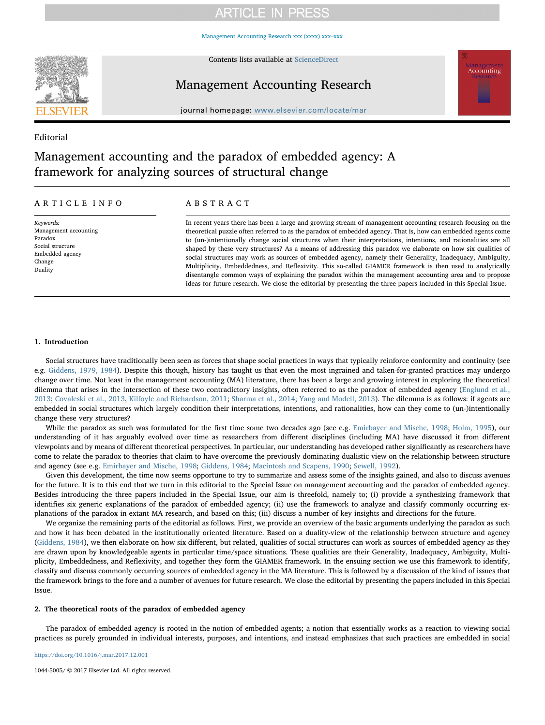[Management Accounting Research xxx \(xxxx\) xxx–xxx](https://doi.org/10.1016/j.mar.2017.12.001)



Contents lists available at [ScienceDirect](http://www.sciencedirect.com/science/journal/10445005)

# Management Accounting Research



journal homepage: [www.elsevier.com/locate/mar](https://www.elsevier.com/locate/mar)

### Editorial

# Management accounting and the paradox of embedded agency: A framework for analyzing sources of structural change

### ARTICLE INFO

Keywords: Management accounting Paradox Social structure Embedded agency Change Duality

### ABSTRACT

In recent years there has been a large and growing stream of management accounting research focusing on the theoretical puzzle often referred to as the paradox of embedded agency. That is, how can embedded agents come to (un-)intentionally change social structures when their interpretations, intentions, and rationalities are all shaped by these very structures? As a means of addressing this paradox we elaborate on how six qualities of social structures may work as sources of embedded agency, namely their Generality, Inadequacy, Ambiguity, Multiplicity, Embeddedness, and Reflexivity. This so-called GIAMER framework is then used to analytically disentangle common ways of explaining the paradox within the management accounting area and to propose ideas for future research. We close the editorial by presenting the three papers included in this Special Issue.

### 1. Introduction

Social structures have traditionally been seen as forces that shape social practices in ways that typically reinforce conformity and continuity (see e.g. [Giddens, 1979, 1984\)](#page-8-0). Despite this though, history has taught us that even the most ingrained and taken-for-granted practices may undergo change over time. Not least in the management accounting (MA) literature, there has been a large and growing interest in exploring the theoretical dilemma that arises in the intersection of these two contradictory insights, often referred to as the paradox of embedded agency [\(Englund et al.,](#page-8-1) [2013;](#page-8-1) [Covaleski et al., 2013,](#page-8-2) [Kilfoyle and Richardson, 2011;](#page-9-0) [Sharma et al., 2014;](#page-9-1) [Yang and Modell, 2013](#page-10-0)). The dilemma is as follows: if agents are embedded in social structures which largely condition their interpretations, intentions, and rationalities, how can they come to (un-)intentionally change these very structures?

While the paradox as such was formulated for the first time some two decades ago (see e.g. [Emirbayer and Mische, 1998;](#page-8-3) [Holm, 1995](#page-9-2)), our understanding of it has arguably evolved over time as researchers from different disciplines (including MA) have discussed it from different viewpoints and by means of different theoretical perspectives. In particular, our understanding has developed rather significantly as researchers have come to relate the paradox to theories that claim to have overcome the previously dominating dualistic view on the relationship between structure and agency (see e.g. [Emirbayer and Mische, 1998](#page-8-3); [Giddens, 1984](#page-8-4); [Macintosh and Scapens, 1990;](#page-9-3) [Sewell, 1992\)](#page-9-4).

Given this development, the time now seems opportune to try to summarize and assess some of the insights gained, and also to discuss avenues for the future. It is to this end that we turn in this editorial to the Special Issue on management accounting and the paradox of embedded agency. Besides introducing the three papers included in the Special Issue, our aim is threefold, namely to; (i) provide a synthesizing framework that identifies six generic explanations of the paradox of embedded agency; (ii) use the framework to analyze and classify commonly occurring explanations of the paradox in extant MA research, and based on this; (iii) discuss a number of key insights and directions for the future.

We organize the remaining parts of the editorial as follows. First, we provide an overview of the basic arguments underlying the paradox as such and how it has been debated in the institutionally oriented literature. Based on a duality-view of the relationship between structure and agency ([Giddens, 1984\)](#page-8-4), we then elaborate on how six different, but related, qualities of social structures can work as sources of embedded agency as they are drawn upon by knowledgeable agents in particular time/space situations. These qualities are their Generality, Inadequacy, Ambiguity, Multiplicity, Embeddedness, and Reflexivity, and together they form the GIAMER framework. In the ensuing section we use this framework to identify, classify and discuss commonly occurring sources of embedded agency in the MA literature. This is followed by a discussion of the kind of issues that the framework brings to the fore and a number of avenues for future research. We close the editorial by presenting the papers included in this Special Issue.

### 2. The theoretical roots of the paradox of embedded agency

The paradox of embedded agency is rooted in the notion of embedded agents; a notion that essentially works as a reaction to viewing social practices as purely grounded in individual interests, purposes, and intentions, and instead emphasizes that such practices are embedded in social

1044-5005/ © 2017 Elsevier Ltd. All rights reserved.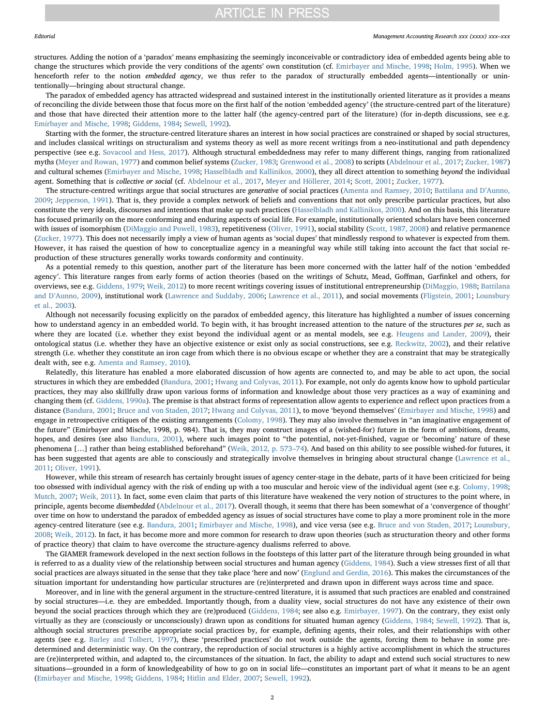### Editorial *Management Accounting Research xxx (xxxx) xxx–xxx*

structures. Adding the notion of a 'paradox' means emphasizing the seemingly inconceivable or contradictory idea of embedded agents being able to change the structures which provide the very conditions of the agents' own constitution (cf. [Emirbayer and Mische, 1998;](#page-8-3) [Holm, 1995\)](#page-9-2). When we henceforth refer to the notion embedded agency, we thus refer to the paradox of structurally embedded agents—intentionally or unintentionally—bringing about structural change.

The paradox of embedded agency has attracted widespread and sustained interest in the institutionally oriented literature as it provides a means of reconciling the divide between those that focus more on the first half of the notion 'embedded agency' (the structure-centred part of the literature) and those that have directed their attention more to the latter half (the agency-centred part of the literature) (for in-depth discussions, see e.g. [Emirbayer and Mische, 1998](#page-8-3); [Giddens, 1984;](#page-8-4) [Sewell, 1992](#page-9-4)).

Starting with the former, the structure-centred literature shares an interest in how social practices are constrained or shaped by social structures, and includes classical writings on structuralism and systems theory as well as more recent writings from a neo-institutional and path dependency perspective (see e.g. [Sovacool and Hess, 2017](#page-9-5)). Although structural embeddedness may refer to many different things, ranging from rationalized myths [\(Meyer and Rowan, 1977\)](#page-9-6) and common belief systems ([Zucker, 1983](#page-10-1); [Grenwood et al., 2008](#page-9-7)) to scripts ([Abdelnour et al., 2017](#page-8-5); [Zucker, 1987\)](#page-10-2) and cultural schemes [\(Emirbayer and Mische, 1998;](#page-8-3) [Hasselbladh and Kallinikos, 2000\)](#page-9-8), they all direct attention to something beyond the individual agent. Something that is collective or social (cf. [Abdelnour et al., 2017,](#page-8-5) [Meyer and Höllerer, 2014](#page-9-9); [Scott, 2001](#page-9-10); [Zucker, 1977](#page-10-3)).

The structure-centred writings argue that social structures are generative of social practices [\(Amenta and Ramsey, 2010](#page-8-6); [Battilana and D](#page-8-7)'Aunno, [2009;](#page-8-7) [Jepperson, 1991](#page-9-11)). That is, they provide a complex network of beliefs and conventions that not only prescribe particular practices, but also constitute the very ideals, discourses and intentions that make up such practices [\(Hasselbladh and Kallinikos, 2000](#page-9-8)). And on this basis, this literature has focused primarily on the more conforming and enduring aspects of social life. For example, institutionally oriented scholars have been concerned with issues of isomorphism ([DiMaggio and Powell, 1983](#page-8-8)), repetitiveness [\(Oliver, 1991](#page-9-12)), social stability ([Scott, 1987, 2008\)](#page-9-13) and relative permanence ([Zucker, 1977\)](#page-10-3). This does not necessarily imply a view of human agents as 'social dupes' that mindlessly respond to whatever is expected from them. However, it has raised the question of how to conceptualize agency in a meaningful way while still taking into account the fact that social reproduction of these structures generally works towards conformity and continuity.

As a potential remedy to this question, another part of the literature has been more concerned with the latter half of the notion 'embedded agency'. This literature ranges from early forms of action theories (based on the writings of Schutz, Mead, Goffman, Garfinkel and others, for overviews, see e.g. [Giddens, 1979](#page-8-0); [Weik, 2012\)](#page-10-4) to more recent writings covering issues of institutional entrepreneurship [\(DiMaggio, 1988;](#page-8-9) [Battilana](#page-8-7) and D'[Aunno, 2009\)](#page-8-7), institutional work ([Lawrence and Suddaby, 2006;](#page-9-14) [Lawrence et al., 2011\)](#page-9-15), and social movements ([Fligstein, 2001;](#page-8-10) [Lounsbury](#page-9-16) [et al., 2003](#page-9-16)).

Although not necessarily focusing explicitly on the paradox of embedded agency, this literature has highlighted a number of issues concerning how to understand agency in an embedded world. To begin with, it has brought increased attention to the nature of the structures per se, such as where they are located (i.e. whether they exist beyond the individual agent or as mental models, see e.g. [Heugens and Lander, 2009](#page-9-17)), their ontological status (i.e. whether they have an objective existence or exist only as social constructions, see e.g. [Reckwitz, 2002](#page-9-18)), and their relative strength (i.e. whether they constitute an iron cage from which there is no obvious escape or whether they are a constraint that may be strategically dealt with, see e.g. [Amenta and Ramsey, 2010](#page-8-6)).

Relatedly, this literature has enabled a more elaborated discussion of how agents are connected to, and may be able to act upon, the social structures in which they are embedded [\(Bandura, 2001;](#page-8-11) [Hwang and Colyvas, 2011\)](#page-9-19). For example, not only do agents know how to uphold particular practices, they may also skillfully draw upon various forms of information and knowledge about those very practices as a way of examining and changing them (cf. [Giddens, 1990a\)](#page-8-12). The premise is that abstract forms of representation allow agents to experience and reflect upon practices from a distance ([Bandura, 2001;](#page-8-11) [Bruce and von Staden, 2017](#page-8-13); [Hwang and Colyvas, 2011\)](#page-9-19), to move 'beyond themselves' [\(Emirbayer and Mische, 1998](#page-8-3)) and engage in retrospective critiques of the existing arrangements [\(Colomy, 1998\)](#page-8-14). They may also involve themselves in "an imaginative engagement of the future" (Emirbayer and Mische, 1998, p. 984). That is, they may construct images of a (wished-for) future in the form of ambitions, dreams, hopes, and desires (see also [Bandura, 2001\)](#page-8-11), where such images point to "the potential, not-yet-finished, vague or 'becoming' nature of these phenomena […] rather than being established beforehand" [\(Weik, 2012, p. 573](#page-10-4)–74). And based on this ability to see possible wished-for futures, it has been suggested that agents are able to consciously and strategically involve themselves in bringing about structural change ([Lawrence et al.,](#page-9-15) [2011;](#page-9-15) [Oliver, 1991](#page-9-12)).

However, while this stream of research has certainly brought issues of agency center-stage in the debate, parts of it have been criticized for being too obsessed with individual agency with the risk of ending up with a too muscular and heroic view of the individual agent (see e.g. [Colomy, 1998](#page-8-14); [Mutch, 2007;](#page-9-20) [Weik, 2011\)](#page-10-5). In fact, some even claim that parts of this literature have weakened the very notion of structures to the point where, in principle, agents become disembedded ([Abdelnour et al., 2017\)](#page-8-5). Overall though, it seems that there has been somewhat of a 'convergence of thought' over time on how to understand the paradox of embedded agency as issues of social structures have come to play a more prominent role in the more agency-centred literature (see e.g. [Bandura, 2001](#page-8-11); [Emirbayer and Mische, 1998](#page-8-3)), and vice versa (see e.g. [Bruce and von Staden, 2017;](#page-8-13) [Lounsbury,](#page-9-21) [2008;](#page-9-21) [Weik, 2012](#page-10-4)). In fact, it has become more and more common for research to draw upon theories (such as structuration theory and other forms of practice theory) that claim to have overcome the structure-agency dualisms referred to above.

The GIAMER framework developed in the next section follows in the footsteps of this latter part of the literature through being grounded in what is referred to as a duality view of the relationship between social structures and human agency [\(Giddens, 1984\)](#page-8-4). Such a view stresses first of all that social practices are always situated in the sense that they take place 'here and now' [\(Englund and Gerdin, 2016\)](#page-8-15). This makes the circumstances of the situation important for understanding how particular structures are (re)interpreted and drawn upon in different ways across time and space.

Moreover, and in line with the general argument in the structure-centred literature, it is assumed that such practices are enabled and constrained by social structures—i.e. they are embedded. Importantly though, from a duality view, social structures do not have any existence of their own beyond the social practices through which they are (re)produced ([Giddens, 1984](#page-8-4); see also e.g. [Emirbayer, 1997\)](#page-8-16). On the contrary, they exist only virtually as they are (consciously or unconsciously) drawn upon as conditions for situated human agency ([Giddens, 1984](#page-8-4); [Sewell, 1992\)](#page-9-4). That is, although social structures prescribe appropriate social practices by, for example, defining agents, their roles, and their relationships with other agents (see e.g. [Barley and Tolbert, 1997\)](#page-8-17), these 'prescribed practices' do not work outside the agents, forcing them to behave in some predetermined and deterministic way. On the contrary, the reproduction of social structures is a highly active accomplishment in which the structures are (re)interpreted within, and adapted to, the circumstances of the situation. In fact, the ability to adapt and extend such social structures to new situations—grounded in a form of knowledgeability of how to go on in social life—constitutes an important part of what it means to be an agent ([Emirbayer and Mische, 1998](#page-8-3); [Giddens, 1984;](#page-8-4) [Hitlin and Elder, 2007;](#page-9-22) [Sewell, 1992](#page-9-4)).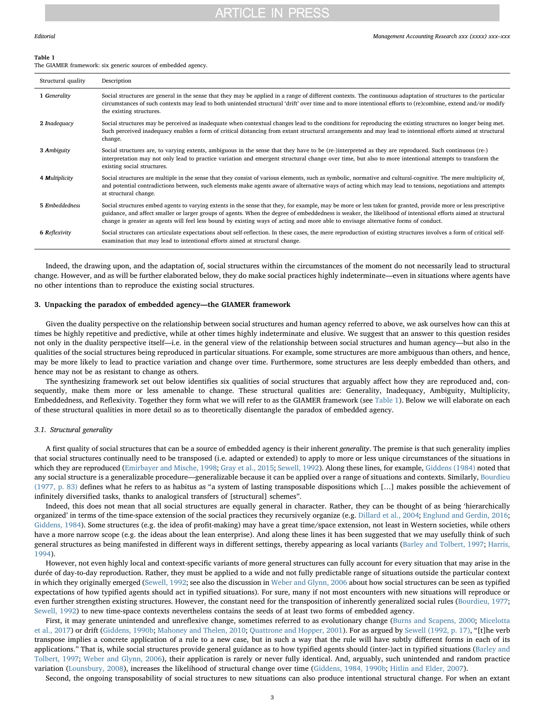#### <span id="page-2-0"></span>Table 1

The GIAMER framework: six generic sources of embedded agency.

| Structural quality   | Description                                                                                                                                                                                                                                                                                                                                                                                                                                                             |
|----------------------|-------------------------------------------------------------------------------------------------------------------------------------------------------------------------------------------------------------------------------------------------------------------------------------------------------------------------------------------------------------------------------------------------------------------------------------------------------------------------|
| 1 Generality         | Social structures are general in the sense that they may be applied in a range of different contexts. The continuous adaptation of structures to the particular<br>circumstances of such contexts may lead to both unintended structural 'drift' over time and to more intentional efforts to (re)combine, extend and/or modify<br>the existing structures.                                                                                                             |
| 2 Inadequacy         | Social structures may be perceived as inadequate when contextual changes lead to the conditions for reproducing the existing structures no longer being met.<br>Such perceived inadequacy enables a form of critical distancing from extant structural arrangements and may lead to intentional efforts aimed at structural<br>change.                                                                                                                                  |
| 3 Ambiguity          | Social structures are, to varying extents, ambiguous in the sense that they have to be (re-)interpreted as they are reproduced. Such continuous (re-)<br>interpretation may not only lead to practice variation and emergent structural change over time, but also to more intentional attempts to transform the<br>existing social structures.                                                                                                                         |
| 4 Multiplicity       | Social structures are multiple in the sense that they consist of various elements, such as symbolic, normative and cultural-cognitive. The mere multiplicity of,<br>and potential contradictions between, such elements make agents aware of alternative ways of acting which may lead to tensions, negotiations and attempts<br>at structural change.                                                                                                                  |
| 5 Embeddedness       | Social structures embed agents to varying extents in the sense that they, for example, may be more or less taken for granted, provide more or less prescriptive<br>guidance, and affect smaller or larger groups of agents. When the degree of embeddedness is weaker, the likelihood of intentional efforts aimed at structural<br>change is greater as agents will feel less bound by existing ways of acting and more able to envisage alternative forms of conduct. |
| <b>6 Reflexivity</b> | Social structures can articulate expectations about self-reflection. In these cases, the mere reproduction of existing structures involves a form of critical self-<br>examination that may lead to intentional efforts aimed at structural change.                                                                                                                                                                                                                     |

Indeed, the drawing upon, and the adaptation of, social structures within the circumstances of the moment do not necessarily lead to structural change. However, and as will be further elaborated below, they do make social practices highly indeterminate—even in situations where agents have no other intentions than to reproduce the existing social structures.

### 3. Unpacking the paradox of embedded agency—the GIAMER framework

Given the duality perspective on the relationship between social structures and human agency referred to above, we ask ourselves how can this at times be highly repetitive and predictive, while at other times highly indeterminate and elusive. We suggest that an answer to this question resides not only in the duality perspective itself—i.e. in the general view of the relationship between social structures and human agency—but also in the qualities of the social structures being reproduced in particular situations. For example, some structures are more ambiguous than others, and hence, may be more likely to lead to practice variation and change over time. Furthermore, some structures are less deeply embedded than others, and hence may not be as resistant to change as others.

The synthesizing framework set out below identifies six qualities of social structures that arguably affect how they are reproduced and, consequently, make them more or less amenable to change. These structural qualities are: Generality, Inadequacy, Ambiguity, Multiplicity, Embeddedness, and Reflexivity. Together they form what we will refer to as the GIAMER framework (see [Table 1](#page-2-0)). Below we will elaborate on each of these structural qualities in more detail so as to theoretically disentangle the paradox of embedded agency.

### 3.1. Structural generality

A first quality of social structures that can be a source of embedded agency is their inherent generality. The premise is that such generality implies that social structures continually need to be transposed (i.e. adapted or extended) to apply to more or less unique circumstances of the situations in which they are reproduced ([Emirbayer and Mische, 1998](#page-8-3); [Gray et al., 2015;](#page-9-23) [Sewell, 1992\)](#page-9-4). Along these lines, for example, [Giddens \(1984\)](#page-8-4) noted that any social structure is a generalizable procedure—generalizable because it can be applied over a range of situations and contexts. Similarly, [Bourdieu](#page-8-18) [\(1977, p. 83\)](#page-8-18) defines what he refers to as habitus as "a system of lasting transposable dispositions which […] makes possible the achievement of infinitely diversified tasks, thanks to analogical transfers of [structural] schemes".

Indeed, this does not mean that all social structures are equally general in character. Rather, they can be thought of as being 'hierarchically organized' in terms of the time-space extension of the social practices they recursively organize (e.g. [Dillard et al., 2004](#page-8-19); [Englund and Gerdin, 2016](#page-8-15); [Giddens, 1984\)](#page-8-4). Some structures (e.g. the idea of profit-making) may have a great time/space extension, not least in Western societies, while others have a more narrow scope (e.g. the ideas about the lean enterprise). And along these lines it has been suggested that we may usefully think of such general structures as being manifested in different ways in different settings, thereby appearing as local variants [\(Barley and Tolbert, 1997](#page-8-17); [Harris,](#page-9-24) [1994\)](#page-9-24).

However, not even highly local and context-specific variants of more general structures can fully account for every situation that may arise in the durée of day-to-day reproduction. Rather, they must be applied to a wide and not fully predictable range of situations outside the particular context in which they originally emerged ([Sewell, 1992;](#page-9-4) see also the discussion in [Weber and Glynn, 2006](#page-10-6) about how social structures can be seen as typified expectations of how typified agents should act in typified situations). For sure, many if not most encounters with new situations will reproduce or even further strengthen existing structures. However, the constant need for the transposition of inherently generalized social rules ([Bourdieu, 1977](#page-8-18); [Sewell, 1992](#page-9-4)) to new time-space contexts nevertheless contains the seeds of at least two forms of embedded agency.

First, it may generate unintended and unreflexive change, sometimes referred to as evolutionary change ([Burns and Scapens, 2000](#page-8-20); [Micelotta](#page-9-25) [et al., 2017](#page-9-25)) or drift ([Giddens, 1990b;](#page-8-21) [Mahoney and Thelen, 2010;](#page-9-26) [Quattrone and Hopper, 2001\)](#page-9-27). For as argued by [Sewell \(1992, p. 17\),](#page-9-4) "[t]he verb transpose implies a concrete application of a rule to a new case, but in such a way that the rule will have subtly different forms in each of its applications." That is, while social structures provide general guidance as to how typified agents should (inter-)act in typified situations ([Barley and](#page-8-17) [Tolbert, 1997](#page-8-17); [Weber and Glynn, 2006\)](#page-10-6), their application is rarely or never fully identical. And, arguably, such unintended and random practice variation [\(Lounsbury, 2008](#page-9-21)), increases the likelihood of structural change over time [\(Giddens, 1984, 1990b;](#page-8-4) [Hitlin and Elder, 2007\)](#page-9-22).

Second, the ongoing transposability of social structures to new situations can also produce intentional structural change. For when an extant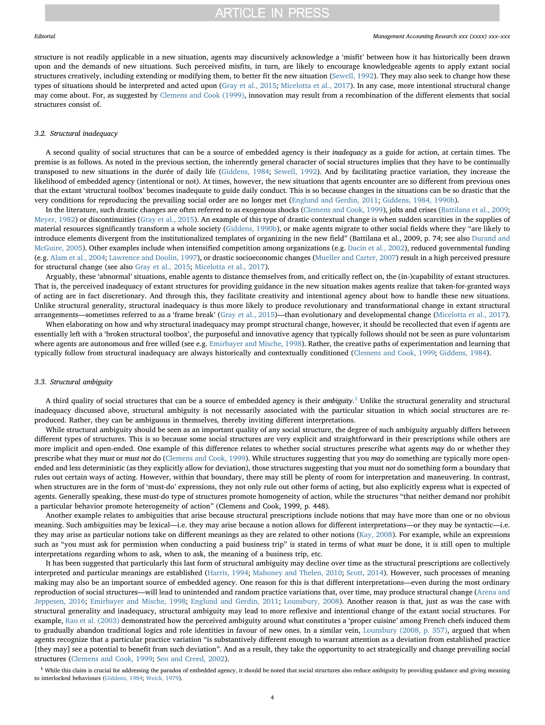#### Editorial *Management Accounting Research xxx (xxxx) xxx–xxx*

structure is not readily applicable in a new situation, agents may discursively acknowledge a 'misfit' between how it has historically been drawn upon and the demands of new situations. Such perceived misfits, in turn, are likely to encourage knowledgeable agents to apply extant social structures creatively, including extending or modifying them, to better fit the new situation [\(Sewell, 1992](#page-9-4)). They may also seek to change how these types of situations should be interpreted and acted upon ([Gray et al., 2015](#page-9-23); [Micelotta et al., 2017\)](#page-9-25). In any case, more intentional structural change may come about. For, as suggested by [Clemens and Cook \(1999\)](#page-8-22), innovation may result from a recombination of the different elements that social structures consist of.

### 3.2. Structural inadequacy

A second quality of social structures that can be a source of embedded agency is their *inadequacy* as a guide for action, at certain times. The premise is as follows. As noted in the previous section, the inherently general character of social structures implies that they have to be continually transposed to new situations in the durée of daily life [\(Giddens, 1984](#page-8-4); [Sewell, 1992](#page-9-4)). And by facilitating practice variation, they increase the likelihood of embedded agency (intentional or not). At times, however, the new situations that agents encounter are so different from previous ones that the extant 'structural toolbox' becomes inadequate to guide daily conduct. This is so because changes in the situations can be so drastic that the very conditions for reproducing the prevailing social order are no longer met [\(Englund and Gerdin, 2011;](#page-8-23) [Giddens, 1984, 1990b](#page-8-4)).

In the literature, such drastic changes are often referred to as exogenous shocks ([Clemens and Cook, 1999\)](#page-8-22), jolts and crises [\(Battilana et al., 2009](#page-8-24); [Meyer, 1982](#page-9-28)) or discontinuities ([Gray et al., 2015](#page-9-23)). An example of this type of drastic contextual change is when sudden scarcities in the supplies of material resources significantly transform a whole society [\(Giddens, 1990b\)](#page-8-21), or make agents migrate to other social fields where they "are likely to introduce elements divergent from the institutionalized templates of organizing in the new field" (Battilana et al., 2009, p. 74; see also [Durand and](#page-8-25) [McGuire, 2005](#page-8-25)). Other examples include when intensified competition among organizations (e.g. [Dacin et al., 2002](#page-8-26)), reduced governmental funding (e.g. [Alam et al., 2004](#page-8-27); [Lawrence and Doolin, 1997\)](#page-9-29), or drastic socioeconomic changes ([Mueller and Carter, 2007\)](#page-9-30) result in a high perceived pressure for structural change (see also [Gray et al., 2015](#page-9-23); [Micelotta et al., 2017\)](#page-9-25).

Arguably, these 'abnormal' situations, enable agents to distance themselves from, and critically reflect on, the (in-)capability of extant structures. That is, the perceived inadequacy of extant structures for providing guidance in the new situation makes agents realize that taken-for-granted ways of acting are in fact discretionary. And through this, they facilitate creativity and intentional agency about how to handle these new situations. Unlike structural generality, structural inadequacy is thus more likely to produce revolutionary and transformational change in extant structural arrangements—sometimes referred to as a 'frame break' ([Gray et al., 2015](#page-9-23))—than evolutionary and developmental change ([Micelotta et al., 2017](#page-9-25)).

When elaborating on how and why structural inadequacy may prompt structural change, however, it should be recollected that even if agents are essentially left with a 'broken structural toolbox', the purposeful and innovative agency that typically follows should not be seen as pure voluntarism where agents are autonomous and free willed (see e.g. [Emirbayer and Mische, 1998\)](#page-8-3). Rather, the creative paths of experimentation and learning that typically follow from structural inadequacy are always historically and contextually conditioned ([Clemens and Cook, 1999;](#page-8-22) [Giddens, 1984\)](#page-8-4).

### 3.3. Structural ambiguity

A third quality of social structures that can be a source of embedded agency is their *ambiguity*.<sup>[1](#page-3-0)</sup> Unlike the structural generality and structural inadequacy discussed above, structural ambiguity is not necessarily associated with the particular situation in which social structures are reproduced. Rather, they can be ambiguous in themselves, thereby inviting different interpretations.

While structural ambiguity should be seen as an important quality of any social structure, the degree of such ambiguity arguably differs between different types of structures. This is so because some social structures are very explicit and straightforward in their prescriptions while others are more implicit and open-ended. One example of this difference relates to whether social structures prescribe what agents may do or whether they prescribe what they must or must not do [\(Clemens and Cook, 1999](#page-8-22)). While structures suggesting that you may do something are typically more openended and less deterministic (as they explicitly allow for deviation), those structures suggesting that you must not do something form a boundary that rules out certain ways of acting. However, within that boundary, there may still be plenty of room for interpretation and maneuvering. In contrast, when structures are in the form of 'must-do' expressions, they not only rule out other forms of acting, but also explicitly express what is expected of agents. Generally speaking, these must-do type of structures promote homogeneity of action, while the structures "that neither demand nor prohibit a particular behavior promote heterogeneity of action" (Clemens and Cook, 1999, p. 448).

Another example relates to ambiguities that arise because structural prescriptions include notions that may have more than one or no obvious meaning. Such ambiguities may be lexical—i.e. they may arise because a notion allows for different interpretations—or they may be syntactic—i.e. they may arise as particular notions take on different meanings as they are related to other notions ([Kay, 2008\)](#page-9-31). For example, while an expressions such as "you must ask for permission when conducting a paid business trip" is stated in terms of what must be done, it is still open to multiple interpretations regarding whom to ask, when to ask, the meaning of a business trip, etc.

It has been suggested that particularly this last form of structural ambiguity may decline over time as the structural prescriptions are collectively interpreted and particular meanings are established ([Harris, 1994;](#page-9-24) [Mahoney and Thelen, 2010](#page-9-26); [Scott, 2014](#page-9-32)). However, such processes of meaning making may also be an important source of embedded agency. One reason for this is that different interpretations—even during the most ordinary reproduction of social structures—will lead to unintended and random practice variations that, over time, may produce structural change ([Arena and](#page-8-28) [Jeppesen, 2016](#page-8-28); [Emirbayer and Mische, 1998](#page-8-3); [Englund and Gerdin, 2011;](#page-8-23) [Lounsbury, 2008\)](#page-9-21). Another reason is that, just as was the case with structural generality and inadequacy, structural ambiguity may lead to more reflexive and intentional change of the extant social structures. For example, [Rao et al. \(2003\)](#page-9-33) demonstrated how the perceived ambiguity around what constitutes a 'proper cuisine' among French chefs induced them to gradually abandon traditional logics and role identities in favour of new ones. In a similar vein, [Lounsbury \(2008, p. 357\)](#page-9-21), argued that when agents recognize that a particular practice variation "is substantively different enough to warrant attention as a deviation from established practice [they may] see a potential to benefit from such deviation". And as a result, they take the opportunity to act strategically and change prevailing social structures ([Clemens and Cook, 1999;](#page-8-22) [Seo and Creed, 2002\)](#page-9-34).

<span id="page-3-0"></span><sup>1</sup> While this claim is crucial for addressing the paradox of embedded agency, it should be noted that social structures also reduce ambiguity by providing guidance and giving meaning to interlocked behaviours ([Giddens, 1984;](#page-8-4) [Weick, 1979](#page-10-7)).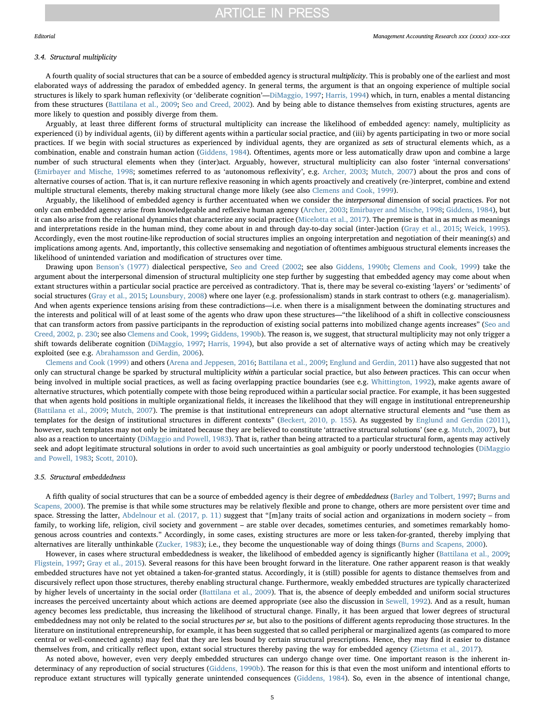### <span id="page-4-0"></span>3.4. Structural multiplicity

A fourth quality of social structures that can be a source of embedded agency is structural multiplicity. This is probably one of the earliest and most elaborated ways of addressing the paradox of embedded agency. In general terms, the argument is that an ongoing experience of multiple social structures is likely to spark human reflexivity (or 'deliberate cognition'—[DiMaggio, 1997](#page-8-29); [Harris, 1994](#page-9-24)) which, in turn, enables a mental distancing from these structures ([Battilana et al., 2009;](#page-8-24) [Seo and Creed, 2002](#page-9-34)). And by being able to distance themselves from existing structures, agents are more likely to question and possibly diverge from them.

Arguably, at least three different forms of structural multiplicity can increase the likelihood of embedded agency: namely, multiplicity as experienced (i) by individual agents, (ii) by different agents within a particular social practice, and (iii) by agents participating in two or more social practices. If we begin with social structures as experienced by individual agents, they are organized as sets of structural elements which, as a combination, enable and constrain human action [\(Giddens, 1984\)](#page-8-4). Oftentimes, agents more or less automatically draw upon and combine a large number of such structural elements when they (inter)act. Arguably, however, structural multiplicity can also foster 'internal conversations' ([Emirbayer and Mische, 1998;](#page-8-3) sometimes referred to as 'autonomous reflexivity', e.g. [Archer, 2003](#page-8-30); [Mutch, 2007](#page-9-20)) about the pros and cons of alternative courses of action. That is, it can nurture reflexive reasoning in which agents proactively and creatively (re-)interpret, combine and extend multiple structural elements, thereby making structural change more likely (see also [Clemens and Cook, 1999](#page-8-22)).

Arguably, the likelihood of embedded agency is further accentuated when we consider the interpersonal dimension of social practices. For not only can embedded agency arise from knowledgeable and reflexive human agency ([Archer, 2003;](#page-8-30) [Emirbayer and Mische, 1998](#page-8-3); [Giddens, 1984\)](#page-8-4), but it can also arise from the relational dynamics that characterize any social practice [\(Micelotta et al., 2017](#page-9-25)). The premise is that in as much as meanings and interpretations reside in the human mind, they come about in and through day-to-day social (inter-)action ([Gray et al., 2015;](#page-9-23) [Weick, 1995](#page-10-8)). Accordingly, even the most routine-like reproduction of social structures implies an ongoing interpretation and negotiation of their meaning(s) and implications among agents. And, importantly, this collective sensemaking and negotiation of oftentimes ambiguous structural elements increases the likelihood of unintended variation and modification of structures over time.

Drawing upon Benson'[s \(1977\)](#page-8-31) dialectical perspective, [Seo and Creed \(2002;](#page-9-34) see also [Giddens, 1990b](#page-8-21); [Clemens and Cook, 1999](#page-8-22)) take the argument about the interpersonal dimension of structural multiplicity one step further by suggesting that embedded agency may come about when extant structures within a particular social practice are perceived as contradictory. That is, there may be several co-existing 'layers' or 'sediments' of social structures ([Gray et al., 2015](#page-9-23); [Lounsbury, 2008](#page-9-21)) where one layer (e.g. professionalism) stands in stark contrast to others (e.g. managerialism). And when agents experience tensions arising from these contradictions—i.e. when there is a misalignment between the dominating structures and the interests and political will of at least some of the agents who draw upon these structures—"the likelihood of a shift in collective consciousness that can transform actors from passive participants in the reproduction of existing social patterns into mobilized change agents increases" ([Seo and](#page-9-34) [Creed, 2002, p. 230](#page-9-34); see also [Clemens and Cook, 1999](#page-8-22); [Giddens, 1990b\)](#page-8-21). The reason is, we suggest, that structural multiplicity may not only trigger a shift towards deliberate cognition ([DiMaggio, 1997](#page-8-29); [Harris, 1994\)](#page-9-24), but also provide a set of alternative ways of acting which may be creatively exploited (see e.g. [Abrahamsson and Gerdin, 2006\)](#page-8-32).

[Clemens and Cook \(1999\)](#page-8-22) and others [\(Arena and Jeppesen, 2016](#page-8-28); [Battilana et al., 2009](#page-8-24); [Englund and Gerdin, 2011](#page-8-23)) have also suggested that not only can structural change be sparked by structural multiplicity within a particular social practice, but also between practices. This can occur when being involved in multiple social practices, as well as facing overlapping practice boundaries (see e.g. [Whittington, 1992](#page-10-9)), make agents aware of alternative structures, which potentially compete with those being reproduced within a particular social practice. For example, it has been suggested that when agents hold positions in multiple organizational fields, it increases the likelihood that they will engage in institutional entrepreneurship ([Battilana et al., 2009;](#page-8-24) [Mutch, 2007](#page-9-20)). The premise is that institutional entrepreneurs can adopt alternative structural elements and "use them as templates for the design of institutional structures in different contexts" [\(Beckert, 2010, p. 155](#page-8-33)). As suggested by [Englund and Gerdin \(2011\)](#page-8-23), however, such templates may not only be imitated because they are believed to constitute 'attractive structural solutions' (see e.g. [Mutch, 2007\)](#page-9-20), but also as a reaction to uncertainty [\(DiMaggio and Powell, 1983](#page-8-8)). That is, rather than being attracted to a particular structural form, agents may actively seek and adopt legitimate structural solutions in order to avoid such uncertainties as goal ambiguity or poorly understood technologies ([DiMaggio](#page-8-8) [and Powell, 1983](#page-8-8); [Scott, 2010](#page-9-35)).

### 3.5. Structural embeddedness

A fifth quality of social structures that can be a source of embedded agency is their degree of embeddedness ([Barley and Tolbert, 1997;](#page-8-17) [Burns and](#page-8-20) [Scapens, 2000](#page-8-20)). The premise is that while some structures may be relatively flexible and prone to change, others are more persistent over time and space. Stressing the latter, [Abdelnour et al. \(2017, p. 11\)](#page-8-5) suggest that "[m]any traits of social action and organizations in modern society – from family, to working life, religion, civil society and government – are stable over decades, sometimes centuries, and sometimes remarkably homogenous across countries and contexts." Accordingly, in some cases, existing structures are more or less taken-for-granted, thereby implying that alternatives are literally unthinkable [\(Zucker, 1983](#page-10-1)); i.e., they become the unquestionable way of doing things [\(Burns and Scapens, 2000\)](#page-8-20).

However, in cases where structural embeddedness is weaker, the likelihood of embedded agency is significantly higher [\(Battilana et al., 2009](#page-8-24); [Fligstein, 1997](#page-8-34); [Gray et al., 2015\)](#page-9-23). Several reasons for this have been brought forward in the literature. One rather apparent reason is that weakly embedded structures have not yet obtained a taken-for-granted status. Accordingly, it is (still) possible for agents to distance themselves from and discursively reflect upon those structures, thereby enabling structural change. Furthermore, weakly embedded structures are typically characterized by higher levels of uncertainty in the social order [\(Battilana et al., 2009\)](#page-8-24). That is, the absence of deeply embedded and uniform social structures increases the perceived uncertainty about which actions are deemed appropriate (see also the discussion in [Sewell, 1992](#page-9-4)). And as a result, human agency becomes less predictable, thus increasing the likelihood of structural change. Finally, it has been argued that lower degrees of structural embeddedness may not only be related to the social structures per se, but also to the positions of different agents reproducing those structures. In the literature on institutional entrepreneurship, for example, it has been suggested that so called peripheral or marginalized agents (as compared to more central or well-connected agents) may feel that they are less bound by certain structural prescriptions. Hence, they may find it easier to distance themselves from, and critically reflect upon, extant social structures thereby paving the way for embedded agency ([Zietsma et al., 2017\)](#page-10-10).

As noted above, however, even very deeply embedded structures can undergo change over time. One important reason is the inherent indeterminacy of any reproduction of social structures ([Giddens, 1990b\)](#page-8-21). The reason for this is that even the most uniform and intentional efforts to reproduce extant structures will typically generate unintended consequences ([Giddens, 1984](#page-8-4)). So, even in the absence of intentional change,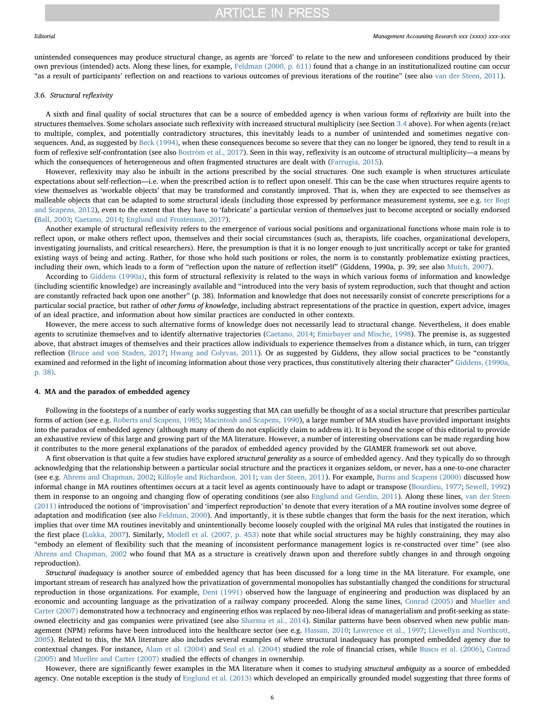#### Editorial *Management Accounting Research xxx (xxxx) xxx–xxx*

unintended consequences may produce structural change, as agents are 'forced' to relate to the new and unforeseen conditions produced by their own previous (intended) acts. Along these lines, for example, [Feldman \(2000, p. 611\)](#page-8-35) found that a change in an institutionalized routine can occur "as a result of participants' reflection on and reactions to various outcomes of previous iterations of the routine" (see also [van der Steen, 2011](#page-10-11)).

### 3.6. Structural reflexivity

A sixth and final quality of social structures that can be a source of embedded agency is when various forms of reflexivity are built into the structures themselves. Some scholars associate such reflexivity with increased structural multiplicity (see Section [3.4](#page-4-0) above). For when agents (re)act to multiple, complex, and potentially contradictory structures, this inevitably leads to a number of unintended and sometimes negative con-sequences. And, as suggested by [Beck \(1994\),](#page-8-36) when these consequences become so severe that they can no longer be ignored, they tend to result in a form of reflexive self-confrontation (see also [Boström et al., 2017](#page-8-37)). Seen in this way, reflexivity is an outcome of structural multiplicity—a means by which the consequences of heterogeneous and often fragmented structures are dealt with ([Farrugia, 2015](#page-8-38)).

However, reflexivity may also be inbuilt in the actions prescribed by the social structures. One such example is when structures articulate expectations about self-reflection—i.e. when the prescribed action is to reflect upon oneself. This can be the case when structures require agents to view themselves as 'workable objects' that may be transformed and constantly improved. That is, when they are expected to see themselves as malleable objects that can be adapted to some structural ideals (including those expressed by performance measurement systems, see e.g. [ter Bogt](#page-10-12) [and Scapens, 2012\)](#page-10-12), even to the extent that they have to 'fabricate' a particular version of themselves just to become accepted or socially endorsed ([Ball, 2003](#page-8-39); [Caetano, 2014](#page-8-40); [Englund and Frostenson, 2017\)](#page-8-41).

Another example of structural reflexivity refers to the emergence of various social positions and organizational functions whose main role is to reflect upon, or make others reflect upon, themselves and their social circumstances (such as, therapists, life coaches, organizational developers, investigating journalists, and critical researchers). Here, the presumption is that it is no longer enough to just uncritically accept or take for granted existing ways of being and acting. Rather, for those who hold such positions or roles, the norm is to constantly problematize existing practices, including their own, which leads to a form of "reflection upon the nature of reflection itself" (Giddens, 1990a, p. 39; see also [Mutch, 2007](#page-9-20)).

According to [Giddens](#page-8-12) (1990a), this form of structural reflexivity is related to the ways in which various forms of information and knowledge (including scientific knowledge) are increasingly available and "introduced into the very basis of system reproduction, such that thought and action are constantly refracted back upon one another" (p. 38). Information and knowledge that does not necessarily consist of concrete prescriptions for a particular social practice, but rather of other forms of knowledge, including abstract representations of the practice in question, expert advice, images of an ideal practice, and information about how similar practices are conducted in other contexts.

However, the mere access to such alternative forms of knowledge does not necessarily lead to structural change. Nevertheless, it does enable agents to scrutinize themselves and to identify alternative trajectories ([Caetano, 2014](#page-8-40); [Emirbayer and Mische, 1998](#page-8-3)). The premise is, as suggested above, that abstract images of themselves and their practices allow individuals to experience themselves from a distance which, in turn, can trigger reflection [\(Bruce and von Staden, 2017;](#page-8-13) [Hwang and Colyvas, 2011\)](#page-9-19). Or as suggested by Giddens, they allow social practices to be "constantly examined and reformed in the light of incoming information about those very practices, thus constitutively altering their character" [Giddens, \(1990a,](#page-8-12) [p. 38\).](#page-8-12)

### <span id="page-5-0"></span>4. MA and the paradox of embedded agency

Following in the footsteps of a number of early works suggesting that MA can usefully be thought of as a social structure that prescribes particular forms of action (see e.g. [Roberts and Scapens, 1985;](#page-9-36) [Macintosh and Scapens, 1990](#page-9-3)), a large number of MA studies have provided important insights into the paradox of embedded agency (although many of them do not explicitly claim to address it). It is beyond the scope of this editorial to provide an exhaustive review of this large and growing part of the MA literature. However, a number of interesting observations can be made regarding how it contributes to the more general explanations of the paradox of embedded agency provided by the GIAMER framework set out above.

A first observation is that quite a few studies have explored structural generality as a source of embedded agency. And they typically do so through acknowledging that the relationship between a particular social structure and the practices it organizes seldom, or never, has a one-to-one character (see e.g. [Ahrens and Chapman, 2002;](#page-8-42) [Kilfoyle and Richardson, 2011](#page-9-0); [van der Steen, 2011\)](#page-10-11). For example, [Burns and Scapens \(2000\)](#page-8-20) discussed how informal change in MA routines oftentimes occurs at a tacit level as agents continuously have to adapt or transpose ([Bourdieu, 1977;](#page-8-18) [Sewell, 1992\)](#page-9-4) them in response to an ongoing and changing flow of operating conditions (see also [Englund and Gerdin, 2011](#page-8-23)). Along these lines, [van der Steen](#page-10-11) [\(2011\)](#page-10-11) introduced the notions of 'improvisation' and 'imperfect reproduction' to denote that every iteration of a MA routine involves some degree of adaptation and modification (see also [Feldman, 2000\)](#page-8-35). And importantly, it is these subtle changes that form the basis for the next iteration, which implies that over time MA routines inevitably and unintentionally become loosely coupled with the original MA rules that instigated the routines in the first place [\(Lukka, 2007](#page-9-37)). Similarly, [Modell et al. \(2007, p. 453\)](#page-9-38) note that while social structures may be highly constraining, they may also "embody an element of flexibility such that the meaning of inconsistent performance management logics is re-constructed over time" (see also [Ahrens and Chapman, 2002](#page-8-42) who found that MA as a structure is creatively drawn upon and therefore subtly changes in and through ongoing reproduction).

Structural inadequacy is another source of embedded agency that has been discussed for a long time in the MA literature. For example, one important stream of research has analyzed how the privatization of governmental monopolies has substantially changed the conditions for structural reproduction in those organizations. For example, [Dent \(1991\)](#page-8-43) observed how the language of engineering and production was displaced by an economic and accounting language as the privatization of a railway company proceeded. Along the same lines, [Conrad \(2005\)](#page-8-44) and [Mueller and](#page-9-30) [Carter \(2007\)](#page-9-30) demonstrated how a technocracy and engineering ethos was replaced by neo-liberal ideas of managerialism and profit-seeking as stateowned electricity and gas companies were privatized (see also [Sharma et al., 2014](#page-9-1)). Similar patterns have been observed when new public management (NPM) reforms have been introduced into the healthcare sector (see e.g. [Hassan, 2010](#page-9-39); [Lawrence et al., 1997;](#page-9-40) [Llewellyn and Northcott,](#page-9-41) [2005\)](#page-9-41). Related to this, the MA literature also includes several examples of where structural inadequacy has prompted embedded agency due to contextual changes. For instance, [Alam et al. \(2004\)](#page-8-27) and [Seal et al. \(2004\)](#page-9-42) studied the role of financial crises, while [Busco et al. \(2006\)](#page-8-45), [Conrad](#page-8-44) [\(2005\)](#page-8-44) and [Mueller and Carter \(2007\)](#page-9-30) studied the effects of changes in ownership.

However, there are significantly fewer examples in the MA literature when it comes to studying structural ambiguity as a source of embedded agency. One notable exception is the study of [Englund et al. \(2013\)](#page-8-1) which developed an empirically grounded model suggesting that three forms of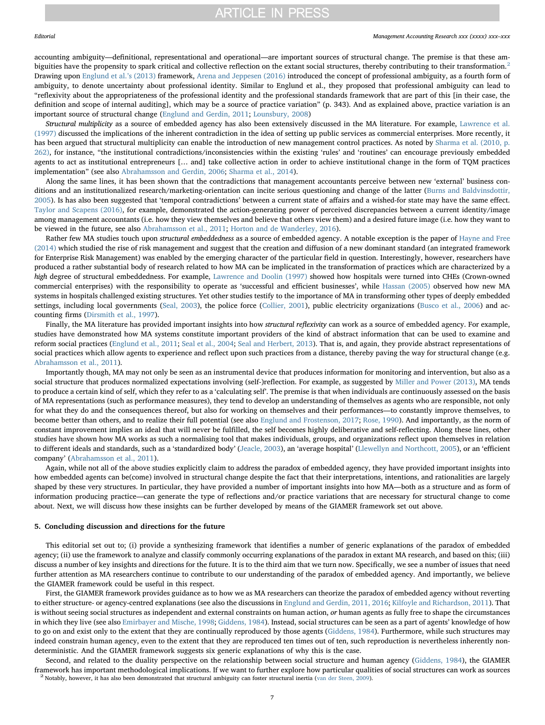### Editorial *Management Accounting Research xxx (xxxx) xxx–xxx*

accounting ambiguity—definitional, representational and operational—are important sources of structural change. The premise is that these am-biguities have the propensity to spark critical and collective reflection on the extant social structures, thereby contributing to their transformation.<sup>[2](#page-6-0)</sup> Drawing upon [Englund et al.](#page-8-1)'s (2013) framework, [Arena and Jeppesen \(2016\)](#page-8-28) introduced the concept of professional ambiguity, as a fourth form of ambiguity, to denote uncertainty about professional identity. Similar to Englund et al., they proposed that professional ambiguity can lead to "reflexivity about the appropriateness of the professional identity and the professional standards framework that are part of this [in their case, the definition and scope of internal auditing], which may be a source of practice variation" (p. 343). And as explained above, practice variation is an important source of structural change ([Englund and Gerdin, 2011](#page-8-23); [Lounsbury, 2008\)](#page-9-21)

Structural multiplicity as a source of embedded agency has also been extensively discussed in the MA literature. For example, [Lawrence et al.](#page-9-40) [\(1997\)](#page-9-40) discussed the implications of the inherent contradiction in the idea of setting up public services as commercial enterprises. More recently, it has been argued that structural multiplicity can enable the introduction of new management control practices. As noted by [Sharma et al. \(2010, p.](#page-9-43) [262\)](#page-9-43), for instance, "the institutional contradictions/inconsistencies within the existing 'rules' and 'routines' can encourage previously embedded agents to act as institutional entrepreneurs [… and] take collective action in order to achieve institutional change in the form of TQM practices implementation" (see also [Abrahamsson and Gerdin, 2006;](#page-8-32) [Sharma et al., 2014\)](#page-9-1).

Along the same lines, it has been shown that the contradictions that management accountants perceive between new 'external' business conditions and an institutionalized research/marketing-orientation can incite serious questioning and change of the latter ([Burns and Baldvinsdottir,](#page-8-46) [2005\)](#page-8-46). Is has also been suggested that 'temporal contradictions' between a current state of affairs and a wished-for state may have the same effect. [Taylor and Scapens \(2016\),](#page-10-13) for example, demonstrated the action-generating power of perceived discrepancies between a current identity/image among management accountants (i.e. how they view themselves and believe that others view them) and a desired future image (i.e. how they want to be viewed in the future, see also [Abrahamsson et al., 2011](#page-8-47); [Horton and de Wanderley, 2016](#page-9-44)).

Rather few MA studies touch upon *structural embeddedness* as a source of embedded agency. A notable exception is the paper of [Hayne and Free](#page-9-45) [\(2014\)](#page-9-45) which studied the rise of risk management and suggest that the creation and diffusion of a new dominant standard (an integrated framework for Enterprise Risk Management) was enabled by the emerging character of the particular field in question. Interestingly, however, researchers have produced a rather substantial body of research related to how MA can be implicated in the transformation of practices which are characterized by a high degree of structural embeddedness. For example, [Lawrence and Doolin \(1997\)](#page-9-29) showed how hospitals were turned into CHEs (Crown-owned commercial enterprises) with the responsibility to operate as 'successful and efficient businesses', while [Hassan \(2005\)](#page-9-46) observed how new MA systems in hospitals challenged existing structures. Yet other studies testify to the importance of MA in transforming other types of deeply embedded settings, including local governments ([Seal, 2003\)](#page-9-47), the police force ([Collier, 2001\)](#page-8-48), public electricity organizations [\(Busco et al., 2006\)](#page-8-45) and accounting firms ([Dirsmith et al., 1997](#page-8-49)).

Finally, the MA literature has provided important insights into how structural reflexivity can work as a source of embedded agency. For example, studies have demonstrated how MA systems constitute important providers of the kind of abstract information that can be used to examine and reform social practices ([Englund et al., 2011](#page-8-50); [Seal et al., 2004;](#page-9-42) [Seal and Herbert, 2013\)](#page-9-48). That is, and again, they provide abstract representations of social practices which allow agents to experience and reflect upon such practices from a distance, thereby paving the way for structural change (e.g. [Abrahamsson et al., 2011\)](#page-8-47).

Importantly though, MA may not only be seen as an instrumental device that produces information for monitoring and intervention, but also as a social structure that produces normalized expectations involving (self-)reflection. For example, as suggested by [Miller and Power \(2013\),](#page-9-49) MA tends to produce a certain kind of self, which they refer to as a 'calculating self'. The premise is that when individuals are continuously assessed on the basis of MA representations (such as performance measures), they tend to develop an understanding of themselves as agents who are responsible, not only for what they do and the consequences thereof, but also for working on themselves and their performances—to constantly improve themselves, to become better than others, and to realize their full potential (see also [Englund and Frostenson, 2017](#page-8-41); [Rose, 1990](#page-9-50)). And importantly, as the norm of constant improvement implies an ideal that will never be fulfilled, the self becomes highly deliberative and self-reflecting. Along these lines, other studies have shown how MA works as such a normalising tool that makes individuals, groups, and organizations reflect upon themselves in relation to different ideals and standards, such as a 'standardized body' ([Jeacle, 2003\)](#page-9-51), an 'average hospital' ([Llewellyn and Northcott, 2005](#page-9-41)), or an 'efficient company' [\(Abrahamsson et al., 2011](#page-8-47)).

Again, while not all of the above studies explicitly claim to address the paradox of embedded agency, they have provided important insights into how embedded agents can be(come) involved in structural change despite the fact that their interpretations, intentions, and rationalities are largely shaped by these very structures. In particular, they have provided a number of important insights into how MA—both as a structure and as form of information producing practice—can generate the type of reflections and/or practice variations that are necessary for structural change to come about. Next, we will discuss how these insights can be further developed by means of the GIAMER framework set out above.

### 5. Concluding discussion and directions for the future

This editorial set out to; (i) provide a synthesizing framework that identifies a number of generic explanations of the paradox of embedded agency; (ii) use the framework to analyze and classify commonly occurring explanations of the paradox in extant MA research, and based on this; (iii) discuss a number of key insights and directions for the future. It is to the third aim that we turn now. Specifically, we see a number of issues that need further attention as MA researchers continue to contribute to our understanding of the paradox of embedded agency. And importantly, we believe the GIAMER framework could be useful in this respect.

First, the GIAMER framework provides guidance as to how we as MA researchers can theorize the paradox of embedded agency without reverting to either structure- or agency-centred explanations (see also the discussions in [Englund and Gerdin, 2011, 2016;](#page-8-23) [Kilfoyle and Richardson, 2011](#page-9-0)). That is without seeing social structures as independent and external constraints on human action, or human agents as fully free to shape the circumstances in which they live (see also [Emirbayer and Mische, 1998](#page-8-3); [Giddens, 1984](#page-8-4)). Instead, social structures can be seen as a part of agents' knowledge of how to go on and exist only to the extent that they are continually reproduced by those agents [\(Giddens, 1984](#page-8-4)). Furthermore, while such structures may indeed constrain human agency, even to the extent that they are reproduced ten times out of ten, such reproduction is nevertheless inherently nondeterministic. And the GIAMER framework suggests six generic explanations of why this is the case.

<span id="page-6-0"></span>Second, and related to the duality perspective on the relationship between social structure and human agency [\(Giddens, 1984](#page-8-4)), the GIAMER framework has important methodological implications. If we want to further explore how particular qualities of social structures can work as sources <sup>2</sup> Notably, however, it has also been demonstrated that structural ambig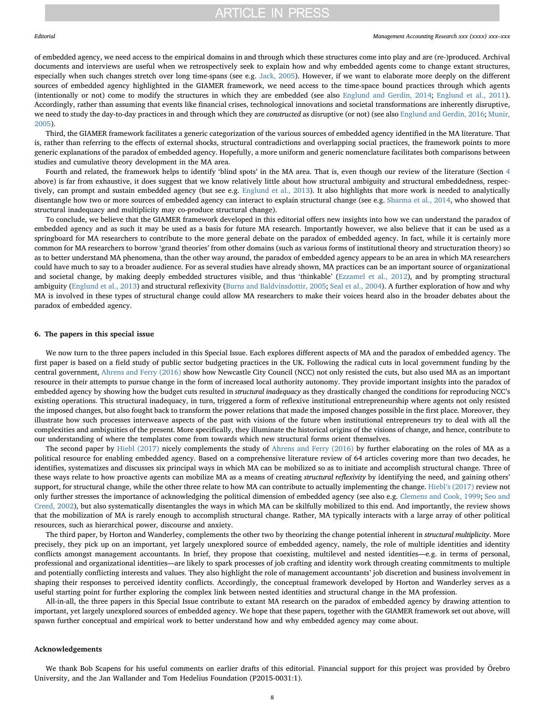### Editorial *Management Accounting Research xxx (xxxx) xxx–xxx*

of embedded agency, we need access to the empirical domains in and through which these structures come into play and are (re-)produced. Archival documents and interviews are useful when we retrospectively seek to explain how and why embedded agents come to change extant structures, especially when such changes stretch over long time-spans (see e.g. [Jack, 2005](#page-9-52)). However, if we want to elaborate more deeply on the different sources of embedded agency highlighted in the GIAMER framework, we need access to the time-space bound practices through which agents (intentionally or not) come to modify the structures in which they are embedded (see also [Englund and Gerdin, 2014;](#page-8-51) [Englund et al., 2011](#page-8-50)). Accordingly, rather than assuming that events like financial crises, technological innovations and societal transformations are inherently disruptive, we need to study the day-to-day practices in and through which they are constructed as disruptive (or not) (see also [Englund and Gerdin, 2016;](#page-8-15) [Munir,](#page-9-53) [2005\)](#page-9-53).

Third, the GIAMER framework facilitates a generic categorization of the various sources of embedded agency identified in the MA literature. That is, rather than referring to the effects of external shocks, structural contradictions and overlapping social practices, the framework points to more generic explanations of the paradox of embedded agency. Hopefully, a more uniform and generic nomenclature facilitates both comparisons between studies and cumulative theory development in the MA area.

Fourth and related, the framework helps to identify 'blind spots' in the MA area. That is, even though our review of the literature (Section [4](#page-5-0) above) is far from exhaustive, it does suggest that we know relatively little about how structural ambiguity and structural embeddedness, respectively, can prompt and sustain embedded agency (but see e.g. [Englund et al., 2013\)](#page-8-1). It also highlights that more work is needed to analytically disentangle how two or more sources of embedded agency can interact to explain structural change (see e.g. [Sharma et al., 2014](#page-9-1), who showed that structural inadequacy and multiplicity may co-produce structural change).

To conclude, we believe that the GIAMER framework developed in this editorial offers new insights into how we can understand the paradox of embedded agency and as such it may be used as a basis for future MA research. Importantly however, we also believe that it can be used as a springboard for MA researchers to contribute to the more general debate on the paradox of embedded agency. In fact, while it is certainly more common for MA researchers to borrow 'grand theories' from other domains (such as various forms of institutional theory and structuration theory) so as to better understand MA phenomena, than the other way around, the paradox of embedded agency appears to be an area in which MA researchers could have much to say to a broader audience. For as several studies have already shown, MA practices can be an important source of organizational and societal change, by making deeply embedded structures visible, and thus 'thinkable' [\(Ezzamel et al., 2012](#page-8-52)), and by prompting structural ambiguity [\(Englund et al., 2013](#page-8-1)) and structural reflexivity ([Burns and Baldvinsdottir, 2005;](#page-8-46) [Seal et al., 2004](#page-9-42)). A further exploration of how and why MA is involved in these types of structural change could allow MA researchers to make their voices heard also in the broader debates about the paradox of embedded agency.

### 6. The papers in this special issue

We now turn to the three papers included in this Special Issue. Each explores different aspects of MA and the paradox of embedded agency. The first paper is based on a field study of public sector budgeting practices in the UK. Following the radical cuts in local government funding by the central government, [Ahrens and Ferry \(2016\)](#page-8-53) show how Newcastle City Council (NCC) not only resisted the cuts, but also used MA as an important resource in their attempts to pursue change in the form of increased local authority autonomy. They provide important insights into the paradox of embedded agency by showing how the budget cuts resulted in structural inadequacy as they drastically changed the conditions for reproducing NCC's existing operations. This structural inadequacy, in turn, triggered a form of reflexive institutional entrepreneurship where agents not only resisted the imposed changes, but also fought back to transform the power relations that made the imposed changes possible in the first place. Moreover, they illustrate how such processes interweave aspects of the past with visions of the future when institutional entrepreneurs try to deal with all the complexities and ambiguities of the present. More specifically, they illuminate the historical origins of the visions of change, and hence, contribute to our understanding of where the templates come from towards which new structural forms orient themselves.

The second paper by [Hiebl \(2017\)](#page-9-54) nicely complements the study of [Ahrens and Ferry \(2016\)](#page-8-53) by further elaborating on the roles of MA as a political resource for enabling embedded agency. Based on a comprehensive literature review of 64 articles covering more than two decades, he identifies, systematizes and discusses six principal ways in which MA can be mobilized so as to initiate and accomplish structural change. Three of these ways relate to how proactive agents can mobilize MA as a means of creating structural reflexivity by identifying the need, and gaining others' support, for structural change, while the other three relate to how MA can contribute to actually implementing the change. Hiebl'[s \(2017\)](#page-9-54) review not only further stresses the importance of acknowledging the political dimension of embedded agency (see also e.g. [Clemens and Cook, 1999](#page-8-22); [Seo and](#page-9-34) [Creed, 2002\)](#page-9-34), but also systematically disentangles the ways in which MA can be skilfully mobilized to this end. And importantly, the review shows that the mobilization of MA is rarely enough to accomplish structural change. Rather, MA typically interacts with a large array of other political resources, such as hierarchical power, discourse and anxiety.

The third paper, by Horton and Wanderley, complements the other two by theorizing the change potential inherent in structural multiplicity. More precisely, they pick up on an important, yet largely unexplored source of embedded agency, namely, the role of multiple identities and identity conflicts amongst management accountants. In brief, they propose that coexisting, multilevel and nested identities—e.g. in terms of personal, professional and organizational identities—are likely to spark processes of job crafting and identity work through creating commitments to multiple and potentially conflicting interests and values. They also highlight the role of management accountants' job discretion and business involvement in shaping their responses to perceived identity conflicts. Accordingly, the conceptual framework developed by Horton and Wanderley serves as a useful starting point for further exploring the complex link between nested identities and structural change in the MA profession.

All-in-all, the three papers in this Special Issue contribute to extant MA research on the paradox of embedded agency by drawing attention to important, yet largely unexplored sources of embedded agency. We hope that these papers, together with the GIAMER framework set out above, will spawn further conceptual and empirical work to better understand how and why embedded agency may come about.

### Acknowledgements

We thank Bob Scapens for his useful comments on earlier drafts of this editorial. Financial support for this project was provided by Örebro University, and the Jan Wallander and Tom Hedelius Foundation (P2015-0031:1).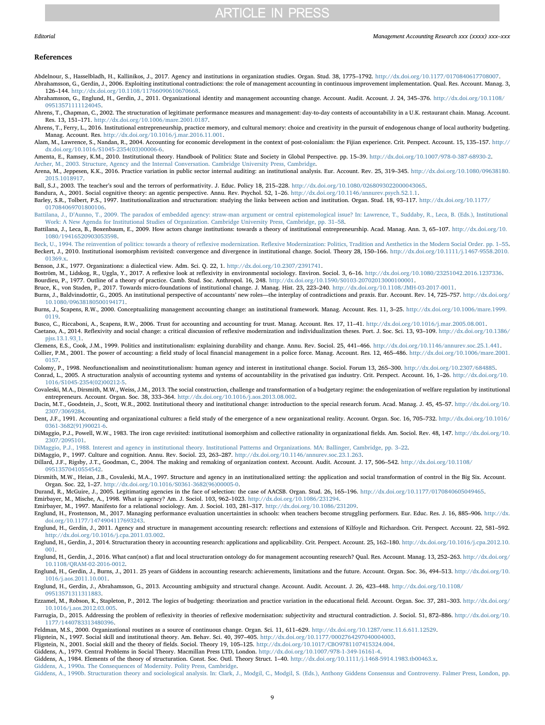## References

<span id="page-8-32"></span><span id="page-8-5"></span>Abdelnour, S., Hasselbladh, H., Kallinikos, J., 2017. Agency and institutions in organization studies. Organ. Stud. 38, 1775–1792. [http://dx.doi.org/10.1177/0170840617708007.](http://dx.doi.org/10.1177/0170840617708007) Abrahamsson, G., Gerdin, J., 2006. Exploiting institutional contradictions: the role of management accounting in continuous improvement implementation. Qual. Res. Account. Manag. 3, 126–144. <http://dx.doi.org/10.1108/11766090610670668>.

<span id="page-8-47"></span>Abrahamsson, G., Englund, H., Gerdin, J., 2011. Organizational identity and management accounting change. Account. Audit. Account. J. 24, 345–376. [http://dx.doi.org/10.1108/](http://dx.doi.org/10.1108/09513571111124045) [09513571111124045.](http://dx.doi.org/10.1108/09513571111124045)

<span id="page-8-42"></span>Ahrens, T., Chapman, C., 2002. The structuration of legitimate performance measures and management: day-to-day contests of accountability in a U.K. restaurant chain. Manag. Account. Res. 13, 151–171. <http://dx.doi.org/10.1006/mare.2001.0187>.

<span id="page-8-53"></span>Ahrens, T., Ferry, L., 2016. Institutional entrepreneurship, practice memory, and cultural memory: choice and creativity in the pursuit of endogenous change of local authority budgeting. Manag. Account. Res. [http://dx.doi.org/10.1016/j.mar.2016.11.001.](http://dx.doi.org/10.1016/j.mar.2016.11.001)

<span id="page-8-27"></span>Alam, M., Lawrence, S., Nandan, R., 2004. Accounting for economic development in the context of post-colonialism: the Fijian experience. Crit. Perspect. Account. 15, 135–157. [http://](http://dx.doi.org/10.1016/S1045-2354(03)00006-6) [dx.doi.org/10.1016/S1045-2354\(03\)00006-6.](http://dx.doi.org/10.1016/S1045-2354(03)00006-6)

<span id="page-8-30"></span><span id="page-8-6"></span>Amenta, E., Ramsey, K.M., 2010. Institutional theory. Handbook of Politics: State and Society in Global Perspective. pp. 15–39. [http://dx.doi.org/10.1007/978-0-387-68930-2.](http://dx.doi.org/10.1007/978-0-387-68930-2) [Archer, M., 2003. Structure, Agency and the Internal Conversation. Cambridge University Press, Cambridge.](http://refhub.elsevier.com/S1044-5005(17)30047-1/sbref0040)

<span id="page-8-28"></span>Arena, M., Jeppesen, K.K., 2016. Practice variation in public sector internal auditing: an institutional analysis. Eur. Account. Rev. 25, 319–345. [http://dx.doi.org/10.1080/09638180.](http://dx.doi.org/10.1080/09638180.2015.1018917) [2015.1018917.](http://dx.doi.org/10.1080/09638180.2015.1018917)

<span id="page-8-39"></span>Ball, S.J., 2003. The teacher's soul and the terrors of performativity. J. Educ. Policy 18, 215–228. <http://dx.doi.org/10.1080/0268093022000043065>.

<span id="page-8-11"></span>Bandura, A., 2001. Social cognitive theory: an agentic perspective. Annu. Rev. Psychol. 52, 1–26. [http://dx.doi.org/10.1146/annurev.psych.52.1.1.](http://dx.doi.org/10.1146/annurev.psych.52.1.1)

<span id="page-8-17"></span>Barley, S.R., Tolbert, P.S., 1997. Institutionalization and structuration: studying the links between action and institution. Organ. Stud. 18, 93–117. [http://dx.doi.org/10.1177/](http://dx.doi.org/10.1177/017084069701800106) [017084069701800106](http://dx.doi.org/10.1177/017084069701800106).

<span id="page-8-7"></span>Battilana, J., D'[Aunno, T., 2009. The paradox of embedded agency: straw-man argument or central epistemological issue? In: Lawrence, T., Suddaby, R., Leca, B. \(Eds.\), Institutional](http://refhub.elsevier.com/S1044-5005(17)30047-1/sbref0065) [Work: A New Agenda for Institutional Studies of Organization. Cambridge University Press, Cambridge, pp. 31](http://refhub.elsevier.com/S1044-5005(17)30047-1/sbref0065)–58.

<span id="page-8-24"></span>Battilana, J., Leca, B., Boxenbaum, E., 2009. How actors change institutions: towards a theory of institutional entrepreneurship. Acad. Manag. Ann. 3, 65-107. [http://dx.doi.org/10.](http://dx.doi.org/10.1080/19416520903053598) [1080/19416520903053598](http://dx.doi.org/10.1080/19416520903053598).

<span id="page-8-36"></span><span id="page-8-33"></span>Beck, U., 1994. The reinvention of politics: towards a theory of reflexive modernization. Refl[exive Modernization: Politics, Tradition and Aesthetics in the Modern Social Order. pp. 1](http://refhub.elsevier.com/S1044-5005(17)30047-1/sbref0075)–55. Beckert, J., 2010. Institutional isomorphism revisited: convergence and divergence in institutional change. Sociol. Theory 28, 150-166. [http://dx.doi.org/10.1111/j.1467-9558.2010.](http://dx.doi.org/10.1111/j.1467-9558.2010.01369.x) [01369.x.](http://dx.doi.org/10.1111/j.1467-9558.2010.01369.x)

<span id="page-8-31"></span>Benson, J.K., 1977. Organizations: a dialectical view. Adm. Sci. Q. 22, 1. <http://dx.doi.org/10.2307/2391741>.

<span id="page-8-37"></span><span id="page-8-18"></span>Boström, M., Lidskog, R., Uggla, Y., 2017. A reflexive look at reflexivity in environmental sociology. Environ. Sociol. 3, 6-16. [http://dx.doi.org/10.1080/23251042.2016.1237336.](http://dx.doi.org/10.1080/23251042.2016.1237336) Bourdieu, P., 1977. Outline of a theory of practice. Camb. Stud. Soc. Anthropol. 16, 248. [http://dx.doi.org/10.1590/S0103-20702013000100001.](http://dx.doi.org/10.1590/S0103-20702013000100001)

<span id="page-8-13"></span>Bruce, K., von Staden, P., 2017. Towards micro-foundations of institutional change. J. Manag. Hist. 23, 223–240. [http://dx.doi.org/10.1108/JMH-03-2017-0011.](http://dx.doi.org/10.1108/JMH-03-2017-0011)

<span id="page-8-46"></span>Burns, J., Baldvinsdottir, G., 2005. An institutional perspective of accountants' new roles—the interplay of contradictions and praxis. Eur. Account. Rev. 14, 725-757. [http://dx.doi.org/](http://dx.doi.org/10.1080/09638180500194171) [10.1080/09638180500194171](http://dx.doi.org/10.1080/09638180500194171).

<span id="page-8-20"></span>Burns, J., Scapens, R.W., 2000. Conceptualizing management accounting change: an institutional framework. Manag. Account. Res. 11, 3–25. [http://dx.doi.org/10.1006/mare.1999.](http://dx.doi.org/10.1006/mare.1999.0119) [0119.](http://dx.doi.org/10.1006/mare.1999.0119)

<span id="page-8-45"></span><span id="page-8-40"></span>Busco, C., Riccaboni, A., Scapens, R.W., 2006. Trust for accounting and accounting for trust. Manag. Account. Res. 17, 11–41. [http://dx.doi.org/10.1016/j.mar.2005.08.001.](http://dx.doi.org/10.1016/j.mar.2005.08.001) Caetano, A., 2014. Reflexivity and social change: a critical discussion of reflexive modernization and individualization theses. Port. J. Soc. Sci. 13, 93–109. [http://dx.doi.org/10.1386/](http://dx.doi.org/10.1386/pjss.13.1.93_1)

<span id="page-8-22"></span>[pjss.13.1.93\\_1](http://dx.doi.org/10.1386/pjss.13.1.93_1). Clemens, E.S., Cook, J.M., 1999. Politics and institutionalism: explaining durability and change. Annu. Rev. Sociol. 25, 441–466. [http://dx.doi.org/10.1146/annurev.soc.25.1.441.](http://dx.doi.org/10.1146/annurev.soc.25.1.441)

<span id="page-8-48"></span>Collier, P.M., 2001. The power of accounting: a field study of local financial management in a police force. Manag. Account. Res. 12, 465–486. [http://dx.doi.org/10.1006/mare.2001.](http://dx.doi.org/10.1006/mare.2001.0157) [0157.](http://dx.doi.org/10.1006/mare.2001.0157)

<span id="page-8-44"></span><span id="page-8-14"></span>Colomy, P., 1998. Neofunctionalism and neoinstitutionalism: human agency and interest in institutional change. Sociol. Forum 13, 265–300. [http://dx.doi.org/10.2307/684885.](http://dx.doi.org/10.2307/684885) Conrad, L., 2005. A structuration analysis of accounting systems and systems of accountability in the privatised gas industry. Crit. Perspect. Account. 16, 1-26. [http://dx.doi.org/10.](http://dx.doi.org/10.1016/S1045-2354(02)00212-5) [1016/S1045-2354\(02\)00212-5.](http://dx.doi.org/10.1016/S1045-2354(02)00212-5)

<span id="page-8-2"></span>Covaleski, M.A., Dirsmith, M.W., Weiss, J.M., 2013. The social construction, challenge and transformation of a budgetary regime: the endogenization of welfare regulation by institutional entrepreneurs. Account. Organ. Soc. 38, 333–364. [http://dx.doi.org/10.1016/j.aos.2013.08.002.](http://dx.doi.org/10.1016/j.aos.2013.08.002)

<span id="page-8-26"></span>Dacin, M.T., Goodstein, J., Scott, W.R., 2002. Institutional theory and institutional change: introduction to the special research forum. Acad. Manag. J. 45, 45–57. [http://dx.doi.org/10.](http://dx.doi.org/10.2307/3069284) [2307/3069284](http://dx.doi.org/10.2307/3069284).

<span id="page-8-43"></span>Dent, J.F., 1991. Accounting and organizational cultures: a field study of the emergence of a new organizational reality. Account. Organ. Soc. 16, 705-732. [http://dx.doi.org/10.1016/](http://dx.doi.org/10.1016/0361-3682(91)90021-6) [0361-3682\(91\)90021-6.](http://dx.doi.org/10.1016/0361-3682(91)90021-6)

<span id="page-8-8"></span>DiMaggio, P.J., Powell, W.W., 1983. The iron cage revisited: institutional isomorphism and collective rationality in organizational fields. Am. Sociol. Rev. 48, 147. [http://dx.doi.org/10.](http://dx.doi.org/10.2307/2095101) [2307/2095101](http://dx.doi.org/10.2307/2095101).

<span id="page-8-9"></span>DiMaggio, [P.J., 1988. Interest and agency in institutional theory. Institutional Patterns and Organizations. MA: Ballinger, Cambridge, pp. 3](http://refhub.elsevier.com/S1044-5005(17)30047-1/sbref0165)–22.

<span id="page-8-29"></span>DiMaggio, P., 1997. Culture and cognition. Annu. Rev. Sociol. 23, 263–287. <http://dx.doi.org/10.1146/annurev.soc.23.1.263>.

<span id="page-8-19"></span>Dillard, J.F., Rigsby, J.T., Goodman, C., 2004. The making and remaking of organization context. Account. Audit. Account. J. 17, 506–542. [http://dx.doi.org/10.1108/](http://dx.doi.org/10.1108/09513570410554542) [09513570410554542.](http://dx.doi.org/10.1108/09513570410554542)

<span id="page-8-49"></span>Dirsmith, M.W., Heian, J.B., Covaleski, M.A., 1997. Structure and agency in an institutionalized setting: the application and social transformation of control in the Big Six. Account. Organ. Soc. 22, 1–27. [http://dx.doi.org/10.1016/S0361-3682\(96\)00005-0.](http://dx.doi.org/10.1016/S0361-3682(96)00005-0)

<span id="page-8-25"></span>Durand, R., McGuire, J., 2005. Legitimating agencies in the face of selection: the case of AACSB. Organ. Stud. 26, 165-196. <http://dx.doi.org/10.1177/0170840605049465>.

<span id="page-8-16"></span>

<span id="page-8-3"></span>Emirbayer, M., Mische, A., 1998. What is agency? Am. J. Sociol. 103, 962–1023. http://dx.doi.org/10.1086/231294<br>Emirbayer, M., 1997. Manifesto for a relational sociology. Am. J. Sociol. 103, 281–317. http://dx.doi.org/10.1

<span id="page-8-41"></span>Englund, H., Frostenson, M., 2017. Managing performance evaluation uncertainties in schools: when teachers become struggling performers. Eur. Educ. Res. J. 16, 885–906. [http://dx.](http://dx.doi.org/10.1177/1474904117693243) [doi.org/10.1177/1474904117693243.](http://dx.doi.org/10.1177/1474904117693243)

<span id="page-8-23"></span>Englund, H., Gerdin, J., 2011. Agency and structure in management accounting research: reflections and extensions of Kilfoyle and Richardson. Crit. Perspect. Account. 22, 581–592. [http://dx.doi.org/10.1016/j.cpa.2011.03.002.](http://dx.doi.org/10.1016/j.cpa.2011.03.002)

<span id="page-8-51"></span>Englund, H., Gerdin, J., 2014. Structuration theory in accounting research: applications and applicability. Crit. Perspect. Account. 25, 162-180. [http://dx.doi.org/10.1016/j.cpa.2012.10.](http://dx.doi.org/10.1016/j.cpa.2012.10.001) [001](http://dx.doi.org/10.1016/j.cpa.2012.10.001).

<span id="page-8-15"></span>Englund, H., Gerdin, J., 2016. What can(not) a flat and local structuration ontology do for management accounting research? Qual. Res. Account. Manag. 13, 252–263. [http://dx.doi.org/](http://dx.doi.org/10.1108/QRAM-02-2016-0012) [10.1108/QRAM-02-2016-0012.](http://dx.doi.org/10.1108/QRAM-02-2016-0012)

<span id="page-8-50"></span>Englund, H., Gerdin, J., Burns, J., 2011. 25 years of Giddens in accounting research: achievements, limitations and the future. Account. Organ. Soc. 36, 494–513. [http://dx.doi.org/10.](http://dx.doi.org/10.1016/j.aos.2011.10.001) [1016/j.aos.2011.10.001.](http://dx.doi.org/10.1016/j.aos.2011.10.001)

<span id="page-8-1"></span>Englund, H., Gerdin, J., Abrahamsson, G., 2013. Accounting ambiguity and structural change. Account. Audit. Account. J. 26, 423–448. [http://dx.doi.org/10.1108/](http://dx.doi.org/10.1108/09513571311311883) [09513571311311883.](http://dx.doi.org/10.1108/09513571311311883)

<span id="page-8-52"></span>Ezzamel, M., Robson, K., Stapleton, P., 2012. The logics of budgeting: theorization and practice variation in the educational field. Account. Organ. Soc. 37, 281–303. [http://dx.doi.org/](http://dx.doi.org/10.1016/j.aos.2012.03.005) [10.1016/j.aos.2012.03.005.](http://dx.doi.org/10.1016/j.aos.2012.03.005)

<span id="page-8-38"></span>Farrugia, D., 2015. Addressing the problem of reflexivity in theories of reflexive modernisation: subjectivity and structural contradiction. J. Sociol. 51, 872-886. [http://dx.doi.org/10.](http://dx.doi.org/10.1177/1440783313480396) [1177/1440783313480396](http://dx.doi.org/10.1177/1440783313480396).

<span id="page-8-35"></span><span id="page-8-34"></span>Feldman, M.S., 2000. Organizational routines as a source of continuous change. Organ. Sci. 11, 611–629. [http://dx.doi.org/10.1287/orsc.11.6.611.12529.](http://dx.doi.org/10.1287/orsc.11.6.611.12529)

Fligstein, N., 1997. Social skill and institutional theory. Am. Behav. Sci. 40, 397–405. [http://dx.doi.org/10.1177/0002764297040004003.](http://dx.doi.org/10.1177/0002764297040004003)

<span id="page-8-10"></span><span id="page-8-0"></span>Fligstein, N., 2001. Social skill and the theory of fields. Sociol. Theory 19, 105–125. <http://dx.doi.org/10.1017/CBO9781107415324.004>. Giddens, A., 1979. Central Problems in Social Theory. Macmillan Press LTD, London. [http://dx.doi.org/10.1007/978-1-349-16161-4.](http://dx.doi.org/10.1007/978-1-349-16161-4)

<span id="page-8-4"></span>Giddens, A., 1984. Elements of the theory of structuration. Const. Soc. Outl. Theory Struct. 1-40. [http://dx.doi.org/10.1111/j.1468-5914.1983.tb00463.x.](http://dx.doi.org/10.1111/j.1468-5914.1983.tb00463.x)

<span id="page-8-12"></span>[Giddens, A., 1990a. The Consequences of Modernity. Polity Press, Cambridge.](http://refhub.elsevier.com/S1044-5005(17)30047-1/sbref0265)

<span id="page-8-21"></span>[Giddens, A., 1990b. Structuration theory and sociological analysis. In: Clark, J., Modgil, C., Modgil, S. \(Eds.\), Anthony Giddens Consensus and Controversy. Falmer Press, London, pp.](http://refhub.elsevier.com/S1044-5005(17)30047-1/sbref0270)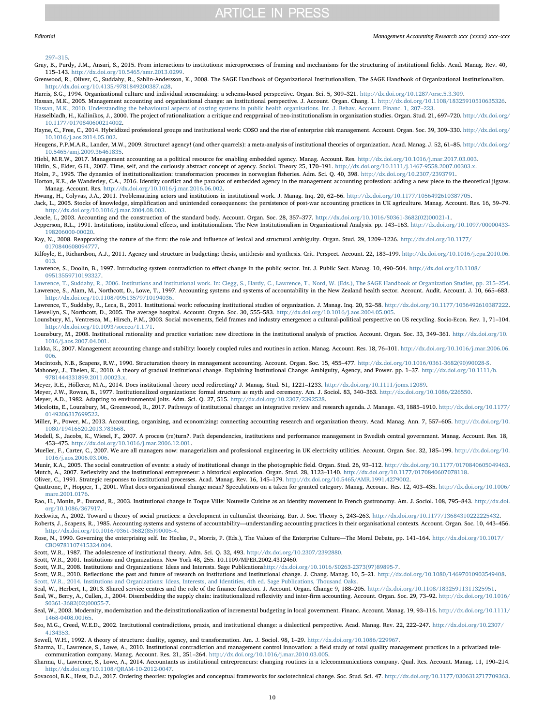297–[315](http://refhub.elsevier.com/S1044-5005(17)30047-1/sbref0270).

<span id="page-9-23"></span>Gray, B., Purdy, J.M., Ansari, S., 2015. From interactions to institutions: microprocesses of framing and mechanisms for the structuring of institutional fields. Acad. Manag. Rev. 40, 115–143. [http://dx.doi.org/10.5465/amr.2013.0299.](http://dx.doi.org/10.5465/amr.2013.0299)

<span id="page-9-7"></span>Grenwood, R., Oliver, C., Suddaby, R., Sahlin-Andersson, K., 2008. The SAGE Handbook of Organizational Institutionalism, The SAGE Handbook of Organizational Institutionalism. [http://dx.doi.org/10.4135/9781849200387.n28.](http://dx.doi.org/10.4135/9781849200387.n28)

<span id="page-9-24"></span>Harris, S.G., 1994. Organizational culture and individual sensemaking: a schema-based perspective. Organ. Sci. 5, 309–321. <http://dx.doi.org/10.1287/orsc.5.3.309>.

<span id="page-9-46"></span><span id="page-9-39"></span>Hassan, M.K., 2005. Management accounting and organisational change: an institutional perspective. J. Account. Organ. Chang. 1. <http://dx.doi.org/10.1108/18325910510635326>. [Hassan, M.K., 2010. Understanding the behavioural aspects of costing systems in public health organisations. Int. J. Behav. Account. Financ. 1, 207](http://refhub.elsevier.com/S1044-5005(17)30047-1/sbref0295)–223.

<span id="page-9-8"></span>Hasselbladh, H., Kallinikos, J., 2000. The project of rationalization: a critique and reappraisal of neo-institutionalism in organization studies. Organ. Stud. 21, 697-720. [http://dx.doi.org/](http://dx.doi.org/10.1177/0170840600214002) [10.1177/0170840600214002](http://dx.doi.org/10.1177/0170840600214002).

<span id="page-9-45"></span>Hayne, C., Free, C., 2014. Hybridized professional groups and institutional work: COSO and the rise of enterprise risk management. Account. Organ. Soc. 39, 309-330. [http://dx.doi.org/](http://dx.doi.org/10.1016/j.aos.2014.05.002) [10.1016/j.aos.2014.05.002.](http://dx.doi.org/10.1016/j.aos.2014.05.002)

<span id="page-9-17"></span>Heugens, P.P.M.A.R., Lander, M.W., 2009. Structure! agency! (and other quarrels): a meta-analysis of institutional theories of organization. Acad. Manag. J. 52, 61-85. [http://dx.doi.org/](http://dx.doi.org/10.5465/amj.2009.36461835) [10.5465/amj.2009.36461835](http://dx.doi.org/10.5465/amj.2009.36461835).

<span id="page-9-54"></span>Hiebl, M.R.W., 2017. Management accounting as a political resource for enabling embedded agency. Manag. Account. Res. [http://dx.doi.org/10.1016/j.mar.2017.03.003.](http://dx.doi.org/10.1016/j.mar.2017.03.003)

<span id="page-9-22"></span>Hitlin, S., Elder, G.H., 2007. Time, self, and the curiously abstract concept of agency. Sociol. Theory 25, 170-191. [http://dx.doi.org/10.1111/j.1467-9558.2007.00303.x.](http://dx.doi.org/10.1111/j.1467-9558.2007.00303.x)

<span id="page-9-2"></span>Holm, P., 1995. The dynamics of institutionalization: transformation processes in norwegian fisheries. Adm. Sci. Q. 40, 398. [http://dx.doi.org/10.2307/2393791.](http://dx.doi.org/10.2307/2393791)

<span id="page-9-44"></span>Horton, K.E., de Wanderley, C.A., 2016. Identity conflict and the paradox of embedded agency in the management accounting profession: adding a new piece to the theoretical jigsaw. Manag. Account. Res. [http://dx.doi.org/10.1016/j.mar.2016.06.002.](http://dx.doi.org/10.1016/j.mar.2016.06.002)

<span id="page-9-19"></span>Hwang, H., Colyvas, J.A., 2011. Problematizing actors and institutions in institutional work. J. Manag. Inq. 20, 62–66. <http://dx.doi.org/10.1177/1056492610387705>.

<span id="page-9-52"></span>Jack, L., 2005. Stocks of knowledge, simplification and unintended consequences: the persistence of post-war accounting practices in UK agriculture. Manag. Account. Res. 16, 59-79. [http://dx.doi.org/10.1016/j.mar.2004.08.003.](http://dx.doi.org/10.1016/j.mar.2004.08.003)

<span id="page-9-51"></span><span id="page-9-11"></span>Jeacle, I., 2003. Accounting and the construction of the standard body. Account. Organ. Soc. 28, 357-377. [http://dx.doi.org/10.1016/S0361-3682\(02\)00021-1](http://dx.doi.org/10.1016/S0361-3682(02)00021-1). Jepperson, R.L., 1991. Institutions, institutional effects, and institutionalism. The New Institutionalism in Organizational Analysis. pp. 143-163. http://dx.doi.org/10.1097/0000433-[198206000-00020.](http://dx.doi.org/10.1097/00000433-198206000-00020)

<span id="page-9-31"></span>Kay, N., 2008. Reappraising the nature of the firm: the role and influence of lexical and structural ambiguity. Organ. Stud. 29, 1209-1226. [http://dx.doi.org/10.1177/](http://dx.doi.org/10.1177/0170840608094777) [0170840608094777.](http://dx.doi.org/10.1177/0170840608094777)

<span id="page-9-0"></span>Kilfoyle, E., Richardson, A.J., 2011. Agency and structure in budgeting: thesis, antithesis and synthesis. Crit. Perspect. Account. 22, 183-199. [http://dx.doi.org/10.1016/j.cpa.2010.06.](http://dx.doi.org/10.1016/j.cpa.2010.06.013) [013](http://dx.doi.org/10.1016/j.cpa.2010.06.013).

<span id="page-9-29"></span>Lawrence, S., Doolin, B., 1997. Introducing system contradiction to effect change in the public sector. Int. J. Public Sect. Manag. 10, 490-504. [http://dx.doi.org/10.1108/](http://dx.doi.org/10.1108/09513559710193327) [09513559710193327.](http://dx.doi.org/10.1108/09513559710193327)

<span id="page-9-40"></span><span id="page-9-14"></span>[Lawrence, T., Suddaby, R., 2006. Institutions and institutional work. In: Clegg, S., Hardy, C., Lawrence, T., Nord, W. \(Eds.\), The SAGE Handbook of Organization Studies, pp. 215](http://refhub.elsevier.com/S1044-5005(17)30047-1/sbref0370)–254. Lawrence, S., Alam, M., Northcott, D., Lowe, T., 1997. Accounting systems and systems of accountability in the New Zealand health sector. Account. Audit. Account. J. 10, 665–683. <http://dx.doi.org/10.1108/09513579710194036>.

<span id="page-9-41"></span><span id="page-9-15"></span>Lawrence, T., Suddaby, R., Leca, B., 2011. Institutional work: refocusing institutional studies of organization. J. Manag. Inq. 20, 52-58. [http://dx.doi.org/10.1177/1056492610387222.](http://dx.doi.org/10.1177/1056492610387222) Llewellyn, S., Northcott, D., 2005. The average hospital. Account. Organ. Soc. 30, 555–583. [http://dx.doi.org/10.1016/j.aos.2004.05.005.](http://dx.doi.org/10.1016/j.aos.2004.05.005)

<span id="page-9-16"></span>Lounsbury, M., Ventresca, M., Hirsch, P.M., 2003. Social movements, field frames and industry emergence: a cultural-political perspective on US recycling. Socio-Econ. Rev. 1, 71–104. <http://dx.doi.org/10.1093/soceco/1.1.71>.

<span id="page-9-21"></span>Lounsbury, M., 2008. Institutional rationality and practice variation: new directions in the institutional analysis of practice. Account. Organ. Soc. 33, 349–361. [http://dx.doi.org/10.](http://dx.doi.org/10.1016/j.aos.2007.04.001) [1016/j.aos.2007.04.001.](http://dx.doi.org/10.1016/j.aos.2007.04.001)

<span id="page-9-37"></span>Lukka, K., 2007. Management accounting change and stability: loosely coupled rules and routines in action. Manag. Account. Res. 18, 76–101. [http://dx.doi.org/10.1016/j.mar.2006.06.](http://dx.doi.org/10.1016/j.mar.2006.06.006) [006](http://dx.doi.org/10.1016/j.mar.2006.06.006).

<span id="page-9-26"></span><span id="page-9-3"></span>Macintosh, N.B., Scapens, R.W., 1990. Structuration theory in management accounting. Account. Organ. Soc. 15, 455–477. [http://dx.doi.org/10.1016/0361-3682\(90\)90028-S](http://dx.doi.org/10.1016/0361-3682(90)90028-S). Mahoney, J., Thelen, K., 2010. A theory of gradual institutional change. Explaining Institutional Change: Ambiguity, Agency, and Power. pp. 1-37. [http://dx.doi.org/10.1111/b.](http://dx.doi.org/10.1111/b.9781444331899.2011.00023.x) [9781444331899.2011.00023.x](http://dx.doi.org/10.1111/b.9781444331899.2011.00023.x).

<span id="page-9-9"></span>Meyer, R.E., Höllerer, M.A., 2014. Does institutional theory need redirecting? J. Manag. Stud. 51, 1221–1233. [http://dx.doi.org/10.1111/joms.12089.](http://dx.doi.org/10.1111/joms.12089)

<span id="page-9-6"></span>Meyer, J.W., Rowan, B., 1977. Institutionalized organizations: formal structure as myth and ceremony. Am. J. Sociol. 83, 340–363. [http://dx.doi.org/10.1086/226550.](http://dx.doi.org/10.1086/226550)

<span id="page-9-28"></span>Meyer, A.D., 1982. Adapting to environmental jolts. Adm. Sci. Q. 27, 515. <http://dx.doi.org/10.2307/2392528>.

<span id="page-9-25"></span>Micelotta, E., Lounsbury, M., Greenwood, R., 2017. Pathways of institutional change: an integrative review and research agenda. J. Manage. 43, 1885-1910. [http://dx.doi.org/10.1177/](http://dx.doi.org/10.1177/0149206317699522) [0149206317699522.](http://dx.doi.org/10.1177/0149206317699522)

<span id="page-9-49"></span>Miller, P., Power, M., 2013. Accounting, organizing, and economizing: connecting accounting research and organization theory. Acad. Manag. Ann. 7, 557–605. [http://dx.doi.org/10.](http://dx.doi.org/10.1080/19416520.2013.783668) [1080/19416520.2013.783668](http://dx.doi.org/10.1080/19416520.2013.783668).

<span id="page-9-38"></span>Modell, S., Jacobs, K., Wiesel, F., 2007. A process (re)turn?. Path dependencies, institutions and performance management in Swedish central government. Manag. Account. Res. 18, 453–475. [http://dx.doi.org/10.1016/j.mar.2006.12.001.](http://dx.doi.org/10.1016/j.mar.2006.12.001)

<span id="page-9-30"></span>Mueller, F., Carter, C., 2007. We are all managers now: managerialism and professional engineering in UK electricity utilities. Account. Organ. Soc. 32, 185-199. [http://dx.doi.org/10.](http://dx.doi.org/10.1016/j.aos.2006.03.006) [1016/j.aos.2006.03.006.](http://dx.doi.org/10.1016/j.aos.2006.03.006)

<span id="page-9-53"></span><span id="page-9-20"></span>Munir, K.A., 2005. The social construction of events: a study of institutional change in the photographic field. Organ. Stud. 26, 93-112. [http://dx.doi.org/10.1177/0170840605049463.](http://dx.doi.org/10.1177/0170840605049463) Mutch, A., 2007. Reflexivity and the institutional entrepreneur: a historical exploration. Organ. Stud. 28, 1123–1140. [http://dx.doi.org/10.1177/0170840607078118.](http://dx.doi.org/10.1177/0170840607078118)

<span id="page-9-27"></span><span id="page-9-12"></span>Oliver, C., 1991. Strategic responses to institutional processes. Acad. Manag. Rev. 16, 145–179. [http://dx.doi.org/10.5465/AMR.1991.4279002.](http://dx.doi.org/10.5465/AMR.1991.4279002) Quattrone, P., Hopper, T., 2001. What does organizational change mean? Speculations on a taken for granted category. Manag. Account. Res. 12, 403–435. [http://dx.doi.org/10.1006/](http://dx.doi.org/10.1006/mare.2001.0176) [mare.2001.0176](http://dx.doi.org/10.1006/mare.2001.0176).

<span id="page-9-33"></span>Rao, H., Monin, P., Durand, R., 2003. Institutional change in Toque Ville: Nouvelle Cuisine as an identity movement in French gastronomy. Am. J. Sociol. 108, 795-843. [http://dx.doi.](http://dx.doi.org/10.1086/367917) [org/10.1086/367917.](http://dx.doi.org/10.1086/367917)

<span id="page-9-36"></span><span id="page-9-18"></span>Reckwitz, A., 2002. Toward a theory of social practices: a development in culturalist theorizing. Eur. J. Soc. Theory 5, 243-263. <http://dx.doi.org/10.1177/13684310222225432>. Roberts, J., Scapens, R., 1985. Accounting systems and systems of accountability—understanding accounting practices in their organisational contexts. Account. Organ. Soc. 10, 443–456.

<span id="page-9-50"></span>[http://dx.doi.org/10.1016/0361-3682\(85\)90005-4.](http://dx.doi.org/10.1016/0361-3682(85)90005-4) Rose, N., 1990. Governing the enterprising self. In: Heelas, P., Morris, P. (Eds.), The Values of the Enterprise Culture—The Moral Debate, pp. 141-164. [http://dx.doi.org/10.1017/](http://dx.doi.org/10.1017/CBO9781107415324.004) [CBO9781107415324.004](http://dx.doi.org/10.1017/CBO9781107415324.004).

<span id="page-9-13"></span>Scott, W.R., 1987. The adolescence of institutional theory. Adm. Sci. Q. 32, 493. [http://dx.doi.org/10.2307/2392880.](http://dx.doi.org/10.2307/2392880)

<span id="page-9-10"></span>Scott, W.R., 2001. Institutions and Organizations. New York 48, 255. 10.1109/MPER.2002.4312460.

Scott, W.R., 2008. Institutions and Organizations: Ideas and Interests. Sage Publications[http://dx.doi.org/10.1016/S0263-2373\(97\)89895-7.](http://dx.doi.org/10.1016/S0263-2373(97)89895-7)

<span id="page-9-35"></span><span id="page-9-32"></span>Scott, W.R., 2010. Reflections: the past and future of research on institutions and institutional change. J. Chang. Manag. 10, 5-21. [http://dx.doi.org/10.1080/14697010903549408.](http://dx.doi.org/10.1080/14697010903549408) [Scott, W.R., 2014. Institutions and Organizations: Ideas, Interests, and Identities, 4th ed. Sage Publications, Thousand Oaks.](http://refhub.elsevier.com/S1044-5005(17)30047-1/sbref0510)

<span id="page-9-48"></span>Seal, W., Herbert, I., 2013. Shared service centres and the role of the finance function. J. Account. Organ. Change 9, 188–205. [http://dx.doi.org/10.1108/18325911311325951.](http://dx.doi.org/10.1108/18325911311325951)

<span id="page-9-42"></span>Seal, W., Berry, A., Cullen, J., 2004. Disembedding the supply chain: institutionalized reflexivity and inter-firm accounting. Account. Organ. Soc. 29, 73-92. [http://dx.doi.org/10.1016/](http://dx.doi.org/10.1016/S0361-3682(02)00055-7) [S0361-3682\(02\)00055-7](http://dx.doi.org/10.1016/S0361-3682(02)00055-7).

<span id="page-9-47"></span>Seal, W., 2003. Modernity, modernization and the deinstitutionalization of incremental budgeting in local government. Financ. Account. Manag. 19, 93-116. [http://dx.doi.org/10.1111/](http://dx.doi.org/10.1111/1468-0408.00165) [1468-0408.00165](http://dx.doi.org/10.1111/1468-0408.00165).

<span id="page-9-34"></span>Seo, M.G., Creed, W.E.D., 2002. Institutional contradictions, praxis, and institutional change: a dialectical perspective. Acad. Manag. Rev. 22, 222-247. [http://dx.doi.org/10.2307/](http://dx.doi.org/10.2307/4134353) [4134353.](http://dx.doi.org/10.2307/4134353)

<span id="page-9-4"></span>Sewell, W.H., 1992. A theory of structure: duality, agency, and transformation. Am. J. Sociol. 98, 1–29. [http://dx.doi.org/10.1086/229967.](http://dx.doi.org/10.1086/229967)

<span id="page-9-43"></span>Sharma, U., Lawrence, S., Lowe, A., 2010. Institutional contradiction and management control innovation: a field study of total quality management practices in a privatized telecommunication company. Manag. Account. Res. 21, 251–264. [http://dx.doi.org/10.1016/j.mar.2010.03.005.](http://dx.doi.org/10.1016/j.mar.2010.03.005)

<span id="page-9-1"></span>Sharma, U., Lawrence, S., Lowe, A., 2014. Accountants as institutional entrepreneurs: changing routines in a telecommunications company. Qual. Res. Account. Manag. 11, 190–214. <http://dx.doi.org/10.1108/QRAM-10-2012-0047>.

<span id="page-9-5"></span>Sovacool, B.K., Hess, D.J., 2017. Ordering theories: typologies and conceptual frameworks for sociotechnical change. Soc. Stud. Sci. 47. [http://dx.doi.org/10.1177/0306312717709363.](http://dx.doi.org/10.1177/0306312717709363)